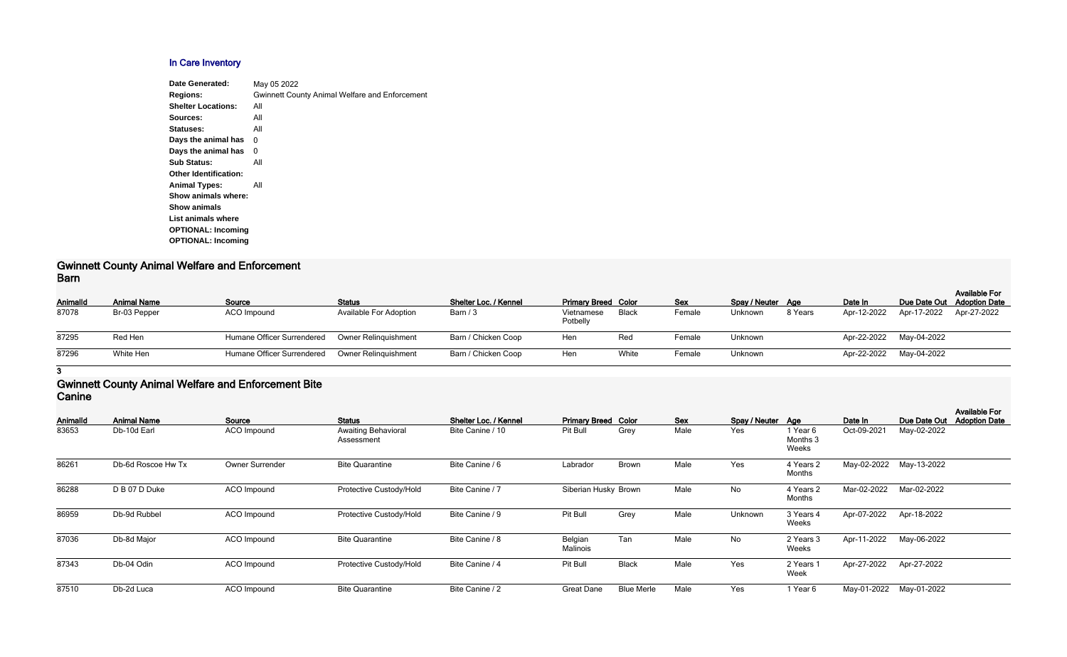## **In Care Inventory**

| May 05 2022                                           |
|-------------------------------------------------------|
| <b>Gwinnett County Animal Welfare and Enforcement</b> |
| All                                                   |
| All                                                   |
| All                                                   |
| 0                                                     |
| 0                                                     |
| All                                                   |
|                                                       |
| All                                                   |
|                                                       |
|                                                       |
|                                                       |
|                                                       |
|                                                       |
|                                                       |

#### **Gwinnett County Animal Welfare and Enforcement Barn**

| Animalld | <b>Animal Name</b> | Source                     | <b>Status</b>                 | Shelter Loc. / Kennel | <b>Primary Breed Color</b> |       | Sex    | Spay / Neuter Age |         | Date In     |                         | <b>Available For</b><br>Due Date Out Adoption Date |
|----------|--------------------|----------------------------|-------------------------------|-----------------------|----------------------------|-------|--------|-------------------|---------|-------------|-------------------------|----------------------------------------------------|
| 87078    | Br-03 Pepper       | ACO Impound                | <b>Available For Adoption</b> | Barn / 3              | Vietnamese<br>Potbelly     | Black | Female | Unknown           | 8 Years | Apr-12-2022 | Apr-17-2022             | Apr-27-2022                                        |
| 87295    | Red Hen            | Humane Officer Surrendered | Owner Relinguishment          | Barn / Chicken Coop   | Hen                        | Red   | Female | Unknown           |         |             | Apr-22-2022 May-04-2022 |                                                    |
| 87296    | White Hen          | Humane Officer Surrendered | <b>Owner Relinguishment</b>   | Barn / Chicken Coop   | Hen                        | White | Female | Unknown           |         |             | Apr-22-2022 May-04-2022 |                                                    |
|          |                    |                            |                               |                       |                            |       |        |                   |         |             |                         |                                                    |

**3**

#### **Gwinnett County Animal Welfare and Enforcement Bite Canine**

| <b>AnimalId</b> | <b>Animal Name</b> | Source             | <b>Status</b>                            | Shelter Loc. / Kennel | <b>Primary Breed Color</b> |                   | <b>Sex</b> | Spay / Neuter Age |                               | Date In     | Due Date Out            | <b>Available For</b><br><b>Adoption Date</b> |
|-----------------|--------------------|--------------------|------------------------------------------|-----------------------|----------------------------|-------------------|------------|-------------------|-------------------------------|-------------|-------------------------|----------------------------------------------|
| 83653           | Db-10d Earl        | <b>ACO</b> Impound | <b>Awaiting Behavioral</b><br>Assessment | Bite Canine / 10      | Pit Bull                   | Grey              | Male       | Yes               | 1 Year 6<br>Months 3<br>Weeks | Oct-09-2021 | May-02-2022             |                                              |
| 86261           | Db-6d Roscoe Hw Tx | Owner Surrender    | <b>Bite Quarantine</b>                   | Bite Canine / 6       | Labrador                   | <b>Brown</b>      | Male       | Yes               | 4 Years 2<br>Months           |             | May-02-2022 May-13-2022 |                                              |
| 86288           | D B 07 D Duke      | ACO Impound        | Protective Custody/Hold                  | Bite Canine / 7       | Siberian Husky Brown       |                   | Male       | No                | 4 Years 2<br>Months           | Mar-02-2022 | Mar-02-2022             |                                              |
| 86959           | Db-9d Rubbel       | <b>ACO</b> Impound | Protective Custody/Hold                  | Bite Canine / 9       | Pit Bull                   | Grey              | Male       | Unknown           | 3 Years 4<br>Weeks            | Apr-07-2022 | Apr-18-2022             |                                              |
| 87036           | Db-8d Major        | <b>ACO</b> Impound | <b>Bite Quarantine</b>                   | Bite Canine / 8       | Belgian<br>Malinois        | Tan               | Male       | No                | 2 Years 3<br>Weeks            | Apr-11-2022 | May-06-2022             |                                              |
| 87343           | Db-04 Odin         | <b>ACO</b> Impound | Protective Custody/Hold                  | Bite Canine / 4       | Pit Bull                   | <b>Black</b>      | Male       | Yes               | 2 Years 1<br>Week             | Apr-27-2022 | Apr-27-2022             |                                              |
| 87510           | Db-2d Luca         | <b>ACO</b> Impound | <b>Bite Quarantine</b>                   | Bite Canine / 2       | <b>Great Dane</b>          | <b>Blue Merle</b> | Male       | Yes               | 1 Year 6                      | May-01-2022 | May-01-2022             |                                              |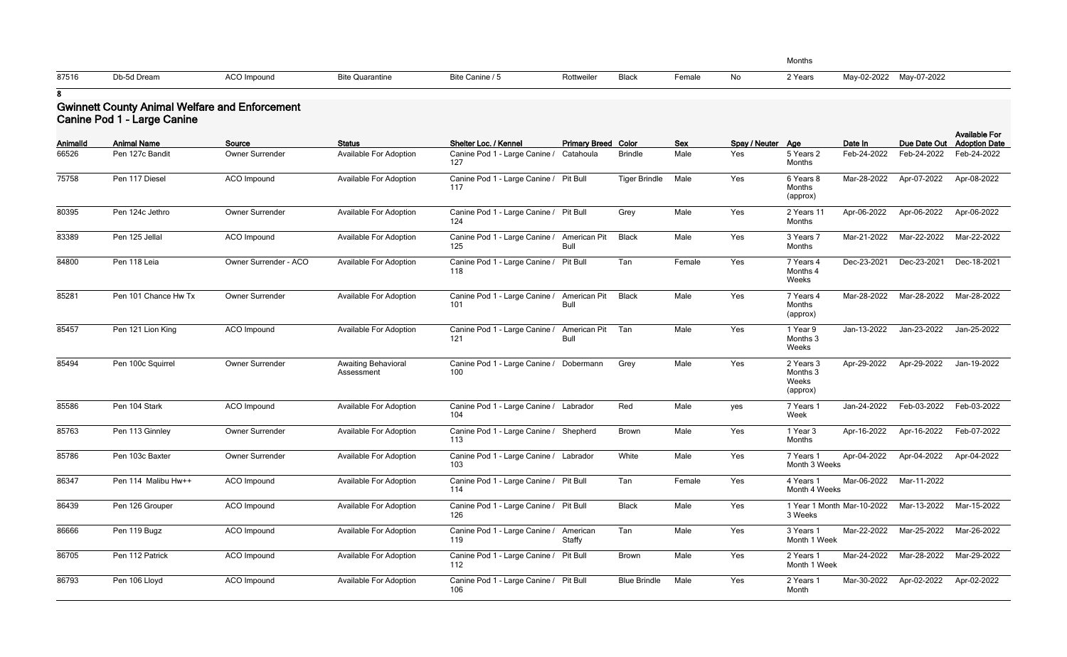|    | Months  | $\overline{\phantom{a}}$ | $\overline{\phantom{a}}$ |
|----|---------|--------------------------|--------------------------|
| No | 2 Years | May-02-2022 May-07-2022  |                          |

|  | 87516 | Db-5d Dream | <b>ACO Impound</b> | <b>Bite Quarantine</b> | Bite Canine / 5 | Rottweiler | <b>Black</b> | $\overline{\cdot}$ emale | No | ? Years | May-02-2022 | May-07-2022 |
|--|-------|-------------|--------------------|------------------------|-----------------|------------|--------------|--------------------------|----|---------|-------------|-------------|
|--|-------|-------------|--------------------|------------------------|-----------------|------------|--------------|--------------------------|----|---------|-------------|-------------|

### **Gwinnett County Animal Welfare and Enforcement Canine Pod 1 - Large Canine**

| Animalld | <b>Animal Name</b>   | Source                 | <b>Status</b>                            | Shelter Loc. / Kennel                         | <b>Primary Breed Color</b>  |                      | <b>Sex</b> | Spay / Neuter Age |                                            | Date In                    | Due Date Out            | <b>Available For</b><br><b>Adoption Date</b> |
|----------|----------------------|------------------------|------------------------------------------|-----------------------------------------------|-----------------------------|----------------------|------------|-------------------|--------------------------------------------|----------------------------|-------------------------|----------------------------------------------|
| 66526    | Pen 127c Bandit      | <b>Owner Surrender</b> | <b>Available For Adoption</b>            | Canine Pod 1 - Large Canine /<br>127          | Catahoula                   | <b>Brindle</b>       | Male       | Yes               | 5 Years 2<br>Months                        | Feb-24-2022                | Feb-24-2022             | Feb-24-2022                                  |
| 75758    | Pen 117 Diesel       | ACO Impound            | Available For Adoption                   | Canine Pod 1 - Large Canine / Pit Bull<br>117 |                             | <b>Tiger Brindle</b> | Male       | Yes               | 6 Years 8<br>Months<br>(approx)            | Mar-28-2022                | Apr-07-2022             | Apr-08-2022                                  |
| 80395    | Pen 124c Jethro      | <b>Owner Surrender</b> | Available For Adoption                   | Canine Pod 1 - Large Canine / Pit Bull<br>124 |                             | Grey                 | Male       | Yes               | 2 Years 11<br>Months                       | Apr-06-2022                | Apr-06-2022             | Apr-06-2022                                  |
| 83389    | Pen 125 Jellal       | <b>ACO</b> Impound     | Available For Adoption                   | Canine Pod 1 - Large Canine /<br>125          | American Pit<br><b>Bull</b> | <b>Black</b>         | Male       | Yes               | 3 Years 7<br>Months                        | Mar-21-2022                | Mar-22-2022             | Mar-22-2022                                  |
| 84800    | Pen 118 Leia         | Owner Surrender - ACO  | <b>Available For Adoption</b>            | Canine Pod 1 - Large Canine /<br>118          | Pit Bull                    | Tan                  | Female     | Yes               | 7 Years 4<br>Months 4<br>Weeks             | Dec-23-2021                | Dec-23-2021             | Dec-18-2021                                  |
| 85281    | Pen 101 Chance Hw Tx | Owner Surrender        | <b>Available For Adoption</b>            | Canine Pod 1 - Large Canine /<br>101          | American Pit<br><b>Bull</b> | <b>Black</b>         | Male       | Yes               | 7 Years 4<br>Months<br>(approx)            | Mar-28-2022                | Mar-28-2022             | Mar-28-2022                                  |
| 85457    | Pen 121 Lion King    | <b>ACO</b> Impound     | <b>Available For Adoption</b>            | Canine Pod 1 - Large Canine /<br>121          | American Pit<br><b>Bull</b> | Tan                  | Male       | Yes               | 1 Year 9<br>Months 3<br>Weeks              | Jan-13-2022                | Jan-23-2022             | Jan-25-2022                                  |
| 85494    | Pen 100c Squirrel    | Owner Surrender        | <b>Awaiting Behavioral</b><br>Assessment | Canine Pod 1 - Large Canine /<br>100          | Dobermann                   | Grey                 | Male       | Yes               | 2 Years 3<br>Months 3<br>Weeks<br>(approx) | Apr-29-2022                | Apr-29-2022             | Jan-19-2022                                  |
| 85586    | Pen 104 Stark        | <b>ACO</b> Impound     | <b>Available For Adoption</b>            | Canine Pod 1 - Large Canine / Labrador<br>104 |                             | Red                  | Male       | yes               | 7 Years 1<br>Week                          | Jan-24-2022                | Feb-03-2022             | Feb-03-2022                                  |
| 85763    | Pen 113 Ginnley      | Owner Surrender        | Available For Adoption                   | Canine Pod 1 - Large Canine / Shepherd<br>113 |                             | <b>Brown</b>         | Male       | Yes               | 1 Year 3<br>Months                         | Apr-16-2022                | Apr-16-2022             | Feb-07-2022                                  |
| 85786    | Pen 103c Baxter      | Owner Surrender        | <b>Available For Adoption</b>            | Canine Pod 1 - Large Canine / Labrador<br>103 |                             | White                | Male       | Yes               | 7 Years 1<br>Month 3 Weeks                 | Apr-04-2022                | Apr-04-2022             | Apr-04-2022                                  |
| 86347    | Pen 114 Malibu Hw++  | ACO Impound            | <b>Available For Adoption</b>            | Canine Pod 1 - Large Canine / Pit Bull<br>114 |                             | Tan                  | Female     | Yes               | 4 Years 1<br>Month 4 Weeks                 |                            | Mar-06-2022 Mar-11-2022 |                                              |
| 86439    | Pen 126 Grouper      | ACO Impound            | <b>Available For Adoption</b>            | Canine Pod 1 - Large Canine / Pit Bull<br>126 |                             | <b>Black</b>         | Male       | Yes               | 3 Weeks                                    | 1 Year 1 Month Mar-10-2022 | Mar-13-2022             | Mar-15-2022                                  |
| 86666    | Pen 119 Bugz         | ACO Impound            | Available For Adoption                   | Canine Pod 1 - Large Canine / American<br>119 | Staffy                      | Tan                  | Male       | Yes               | 3 Years 1<br>Month 1 Week                  |                            | Mar-22-2022 Mar-25-2022 | Mar-26-2022                                  |
| 86705    | Pen 112 Patrick      | ACO Impound            | <b>Available For Adoption</b>            | Canine Pod 1 - Large Canine / Pit Bull<br>112 |                             | Brown                | Male       | Yes               | 2 Years 1<br>Month 1 Week                  | Mar-24-2022                | Mar-28-2022             | Mar-29-2022                                  |
| 86793    | Pen 106 Lloyd        | ACO Impound            | Available For Adoption                   | Canine Pod 1 - Large Canine / Pit Bull<br>106 |                             | <b>Blue Brindle</b>  | Male       | Yes               | 2 Years 1<br>Month                         | Mar-30-2022                | Apr-02-2022             | Apr-02-2022                                  |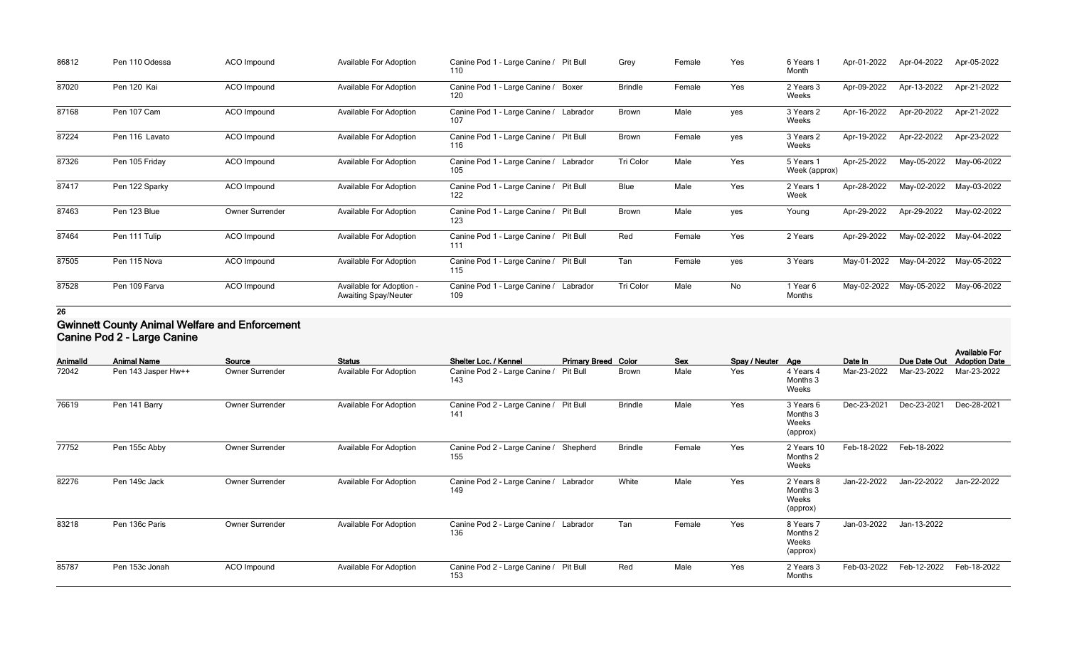| 86812 | Pen 110 Odessa | <b>ACO</b> Impound | <b>Available For Adoption</b>                           | Canine Pod 1 - Large Canine / Pit Bull<br>110 | Grey           | Female | Yes | 6 Years<br>Month           | Apr-01-2022 | Apr-04-2022 | Apr-05-2022 |
|-------|----------------|--------------------|---------------------------------------------------------|-----------------------------------------------|----------------|--------|-----|----------------------------|-------------|-------------|-------------|
| 87020 | Pen 120 Kai    | ACO Impound        | <b>Available For Adoption</b>                           | Canine Pod 1 - Large Canine / Boxer<br>120    | <b>Brindle</b> | Female | Yes | 2 Years 3<br>Weeks         | Apr-09-2022 | Apr-13-2022 | Apr-21-2022 |
| 87168 | Pen 107 Cam    | ACO Impound        | <b>Available For Adoption</b>                           | Canine Pod 1 - Large Canine / Labrador<br>107 | <b>Brown</b>   | Male   | yes | 3 Years 2<br>Weeks         | Apr-16-2022 | Apr-20-2022 | Apr-21-2022 |
| 87224 | Pen 116 Lavato | ACO Impound        | <b>Available For Adoption</b>                           | Canine Pod 1 - Large Canine / Pit Bull<br>116 | <b>Brown</b>   | Female | yes | 3 Years 2<br>Weeks         | Apr-19-2022 | Apr-22-2022 | Apr-23-2022 |
| 87326 | Pen 105 Friday | ACO Impound        | <b>Available For Adoption</b>                           | Canine Pod 1 - Large Canine / Labrador<br>105 | Tri Color      | Male   | Yes | 5 Years 1<br>Week (approx) | Apr-25-2022 | May-05-2022 | May-06-2022 |
| 87417 | Pen 122 Sparky | ACO Impound        | <b>Available For Adoption</b>                           | Canine Pod 1 - Large Canine / Pit Bull<br>122 | <b>Blue</b>    | Male   | Yes | 2 Years 1<br>Week          | Apr-28-2022 | May-02-2022 | May-03-2022 |
| 87463 | Pen 123 Blue   | Owner Surrender    | <b>Available For Adoption</b>                           | Canine Pod 1 - Large Canine / Pit Bull<br>123 | <b>Brown</b>   | Male   | yes | Young                      | Apr-29-2022 | Apr-29-2022 | May-02-2022 |
| 87464 | Pen 111 Tulip  | ACO Impound        | <b>Available For Adoption</b>                           | Canine Pod 1 - Large Canine / Pit Bull<br>111 | Red            | Female | Yes | 2 Years                    | Apr-29-2022 | May-02-2022 | May-04-2022 |
| 87505 | Pen 115 Nova   | ACO Impound        | <b>Available For Adoption</b>                           | Canine Pod 1 - Large Canine / Pit Bull<br>115 | Tan            | Female | yes | 3 Years                    | May-01-2022 | May-04-2022 | May-05-2022 |
| 87528 | Pen 109 Farva  | ACO Impound        | Available for Adoption -<br><b>Awaiting Spay/Neuter</b> | Canine Pod 1 - Large Canine / Labrador<br>109 | Tri Color      | Male   | No  | 1 Year 6<br>Months         | May-02-2022 | May-05-2022 | May-06-2022 |

#### **Gwinnett County Animal Welfare and Enforcement Canine Pod 2 - Large Canine**

| Animalld | <b>Animal Name</b>  | Source          | <b>Status</b>                 | Shelter Loc. / Kennel                         | <b>Primary Breed Color</b> |                | <b>Sex</b> | Spay / Neuter Age |                                            | Date In     | Due Date Out | <b>Available For</b><br><b>Adoption Date</b> |
|----------|---------------------|-----------------|-------------------------------|-----------------------------------------------|----------------------------|----------------|------------|-------------------|--------------------------------------------|-------------|--------------|----------------------------------------------|
| 72042    | Pen 143 Jasper Hw++ | Owner Surrender | <b>Available For Adoption</b> | Canine Pod 2 - Large Canine /<br>143          | <b>Pit Bull</b>            | <b>Brown</b>   | Male       | Yes               | 4 Years 4<br>Months 3<br>Weeks             | Mar-23-2022 | Mar-23-2022  | Mar-23-2022                                  |
| 76619    | Pen 141 Barry       | Owner Surrender | <b>Available For Adoption</b> | Canine Pod 2 - Large Canine /<br>141          | Pit Bull                   | <b>Brindle</b> | Male       | Yes               | 3 Years 6<br>Months 3<br>Weeks<br>(approx) | Dec-23-2021 | Dec-23-2021  | Dec-28-2021                                  |
| 77752    | Pen 155c Abby       | Owner Surrender | <b>Available For Adoption</b> | Canine Pod 2 - Large Canine / Shepherd<br>155 |                            | <b>Brindle</b> | Female     | Yes               | 2 Years 10<br>Months 2<br>Weeks            | Feb-18-2022 | Feb-18-2022  |                                              |
| 82276    | Pen 149c Jack       | Owner Surrender | <b>Available For Adoption</b> | Canine Pod 2 - Large Canine /<br>149          | Labrador                   | White          | Male       | Yes               | 2 Years 8<br>Months 3<br>Weeks<br>(approx) | Jan-22-2022 | Jan-22-2022  | Jan-22-2022                                  |
| 83218    | Pen 136c Paris      | Owner Surrender | <b>Available For Adoption</b> | Canine Pod 2 - Large Canine / Labrador<br>136 |                            | Tan            | Female     | Yes               | 8 Years 7<br>Months 2<br>Weeks<br>(approx) | Jan-03-2022 | Jan-13-2022  |                                              |
| 85787    | Pen 153c Jonah      | ACO Impound     | <b>Available For Adoption</b> | Canine Pod 2 - Large Canine / Pit Bull<br>153 |                            | Red            | Male       | Yes               | 2 Years 3<br>Months                        | Feb-03-2022 | Feb-12-2022  | Feb-18-2022                                  |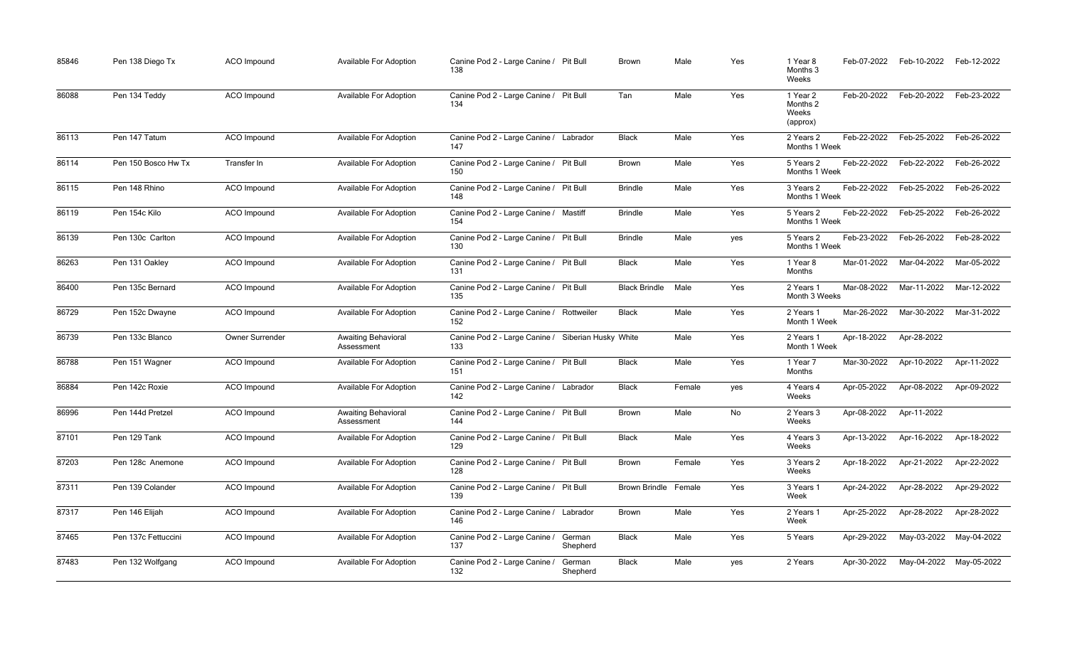| 85846 | Pen 138 Diego Tx    | ACO Impound        | <b>Available For Adoption</b>            | Canine Pod 2 - Large Canine / Pit Bull<br>138   |                      | Brown                | Male   | Yes | 1 Year 8<br>Months 3<br>Weeks             | Feb-07-2022 | Feb-10-2022 | Feb-12-2022 |
|-------|---------------------|--------------------|------------------------------------------|-------------------------------------------------|----------------------|----------------------|--------|-----|-------------------------------------------|-------------|-------------|-------------|
| 86088 | Pen 134 Teddy       | <b>ACO</b> Impound | Available For Adoption                   | Canine Pod 2 - Large Canine / Pit Bull<br>134   | Tan                  |                      | Male   | Yes | 1 Year 2<br>Months 2<br>Weeks<br>(approx) | Feb-20-2022 | Feb-20-2022 | Feb-23-2022 |
| 86113 | Pen 147 Tatum       | ACO Impound        | <b>Available For Adoption</b>            | Canine Pod 2 - Large Canine / Labrador<br>147   |                      | <b>Black</b>         | Male   | Yes | 2 Years 2<br>Months 1 Week                | Feb-22-2022 | Feb-25-2022 | Feb-26-2022 |
| 86114 | Pen 150 Bosco Hw Tx | Transfer In        | Available For Adoption                   | Canine Pod 2 - Large Canine / Pit Bull<br>150   |                      | Brown                | Male   | Yes | 5 Years 2<br>Months 1 Week                | Feb-22-2022 | Feb-22-2022 | Feb-26-2022 |
| 86115 | Pen 148 Rhino       | ACO Impound        | <b>Available For Adoption</b>            | Canine Pod 2 - Large Canine / Pit Bull<br>148   |                      | <b>Brindle</b>       | Male   | Yes | 3 Years 2<br>Months 1 Week                | Feb-22-2022 | Feb-25-2022 | Feb-26-2022 |
| 86119 | Pen 154c Kilo       | ACO Impound        | Available For Adoption                   | Canine Pod 2 - Large Canine / Mastiff<br>154    |                      | <b>Brindle</b>       | Male   | Yes | 5 Years 2<br>Months 1 Week                | Feb-22-2022 | Feb-25-2022 | Feb-26-2022 |
| 86139 | Pen 130c Carlton    | <b>ACO</b> Impound | Available For Adoption                   | Canine Pod 2 - Large Canine / Pit Bull<br>130   |                      | <b>Brindle</b>       | Male   | yes | 5 Years 2<br>Months 1 Week                | Feb-23-2022 | Feb-26-2022 | Feb-28-2022 |
| 86263 | Pen 131 Oakley      | ACO Impound        | Available For Adoption                   | Canine Pod 2 - Large Canine / Pit Bull<br>131   |                      | <b>Black</b>         | Male   | Yes | 1 Year 8<br>Months                        | Mar-01-2022 | Mar-04-2022 | Mar-05-2022 |
| 86400 | Pen 135c Bernard    | ACO Impound        | Available For Adoption                   | Canine Pod 2 - Large Canine / Pit Bull<br>135   |                      | <b>Black Brindle</b> | Male   | Yes | 2 Years 1<br>Month 3 Weeks                | Mar-08-2022 | Mar-11-2022 | Mar-12-2022 |
| 86729 | Pen 152c Dwayne     | ACO Impound        | Available For Adoption                   | Canine Pod 2 - Large Canine / Rottweiler<br>152 |                      | <b>Black</b>         | Male   | Yes | 2 Years 1<br>Month 1 Week                 | Mar-26-2022 | Mar-30-2022 | Mar-31-2022 |
| 86739 | Pen 133c Blanco     | Owner Surrender    | <b>Awaiting Behavioral</b><br>Assessment | Canine Pod 2 - Large Canine /<br>133            | Siberian Husky White |                      | Male   | Yes | 2 Years 1<br>Month 1 Week                 | Apr-18-2022 | Apr-28-2022 |             |
| 86788 | Pen 151 Wagner      | ACO Impound        | Available For Adoption                   | Canine Pod 2 - Large Canine / Pit Bull<br>151   |                      | <b>Black</b>         | Male   | Yes | 1 Year 7<br>Months                        | Mar-30-2022 | Apr-10-2022 | Apr-11-2022 |
| 86884 | Pen 142c Roxie      | <b>ACO</b> Impound | Available For Adoption                   | Canine Pod 2 - Large Canine / Labrador<br>142   |                      | <b>Black</b>         | Female | yes | 4 Years 4<br>Weeks                        | Apr-05-2022 | Apr-08-2022 | Apr-09-2022 |
| 86996 | Pen 144d Pretzel    | ACO Impound        | <b>Awaiting Behavioral</b><br>Assessment | Canine Pod 2 - Large Canine / Pit Bull<br>144   |                      | <b>Brown</b>         | Male   | No  | 2 Years 3<br>Weeks                        | Apr-08-2022 | Apr-11-2022 |             |
| 87101 | Pen 129 Tank        | ACO Impound        | Available For Adoption                   | Canine Pod 2 - Large Canine / Pit Bull<br>129   |                      | <b>Black</b>         | Male   | Yes | 4 Years 3<br>Weeks                        | Apr-13-2022 | Apr-16-2022 | Apr-18-2022 |
| 87203 | Pen 128c Anemone    | ACO Impound        | Available For Adoption                   | Canine Pod 2 - Large Canine / Pit Bull<br>128   |                      | Brown                | Female | Yes | 3 Years 2<br>Weeks                        | Apr-18-2022 | Apr-21-2022 | Apr-22-2022 |
| 87311 | Pen 139 Colander    | ACO Impound        | Available For Adoption                   | Canine Pod 2 - Large Canine / Pit Bull<br>139   |                      | Brown Brindle Female |        | Yes | 3 Years 1<br>Week                         | Apr-24-2022 | Apr-28-2022 | Apr-29-2022 |
| 87317 | Pen 146 Elijah      | ACO Impound        | <b>Available For Adoption</b>            | Canine Pod 2 - Large Canine / Labrador<br>146   |                      | Brown                | Male   | Yes | 2 Years 1<br>Week                         | Apr-25-2022 | Apr-28-2022 | Apr-28-2022 |
| 87465 | Pen 137c Fettuccini | ACO Impound        | Available For Adoption                   | Canine Pod 2 - Large Canine /<br>137            | German<br>Shepherd   | <b>Black</b>         | Male   | Yes | 5 Years                                   | Apr-29-2022 | May-03-2022 | May-04-2022 |
| 87483 | Pen 132 Wolfgang    | ACO Impound        | Available For Adoption                   | Canine Pod 2 - Large Canine /<br>132            | German<br>Shepherd   | <b>Black</b>         | Male   | yes | 2 Years                                   | Apr-30-2022 | May-04-2022 | May-05-2022 |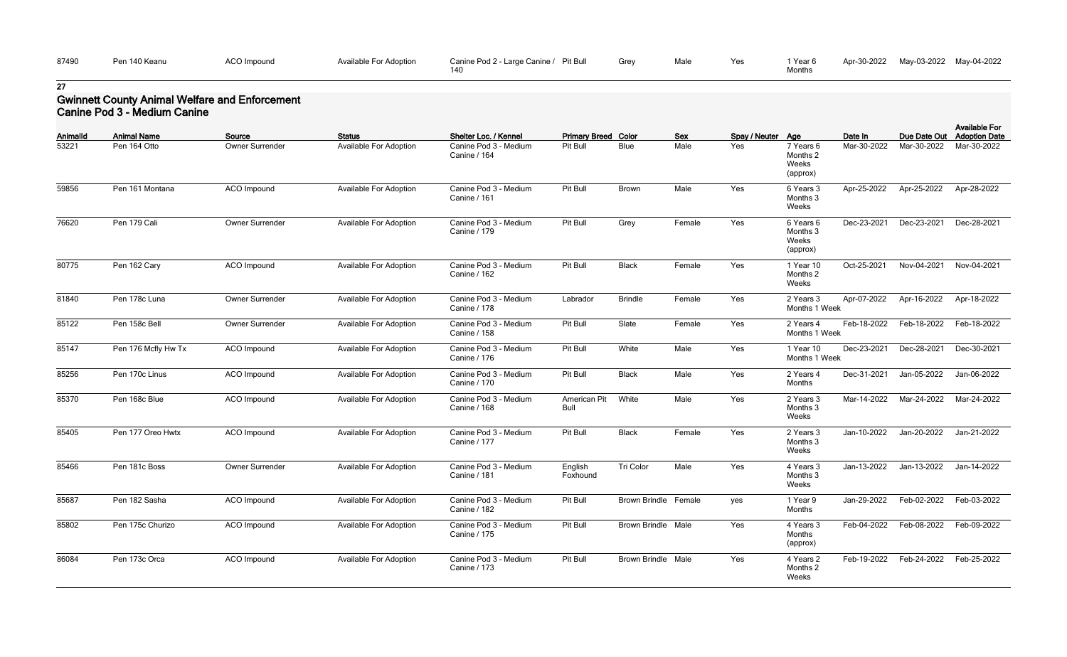| 87490 | Pen 140 Keanu | $\overline{C}$<br>ACO Impound<br>the contract of the contract of the contract of the contract of the contract of the contract of the contract of | <b>Available For Adoption</b> | Pit Bull<br>Canine Pod 2 - Large Canine / | Grey | Male | Yes | 'Year L |
|-------|---------------|--------------------------------------------------------------------------------------------------------------------------------------------------|-------------------------------|-------------------------------------------|------|------|-----|---------|
|       |               |                                                                                                                                                  |                               | 140                                       |      |      |     | Months  |

| Yes | 1 Year 6 | Apr-30-2022 | May-03-2022 May-04-2022 |  |
|-----|----------|-------------|-------------------------|--|
|     | Months   |             |                         |  |

## **Gwinnett County Animal Welfare and Enforcement Canine Pod 3 - Medium Canine**

| <b>AnimalId</b> | <b>Animal Name</b>  | Source                 | <b>Status</b>                 | Shelter Loc. / Kennel                 | <b>Primary Breed Color</b>  |                           | <b>Sex</b> | Spay / Neuter Age |                                            | Date In     | Due Date Out                        | <b>Available For</b><br><b>Adoption Date</b> |
|-----------------|---------------------|------------------------|-------------------------------|---------------------------------------|-----------------------------|---------------------------|------------|-------------------|--------------------------------------------|-------------|-------------------------------------|----------------------------------------------|
| 53221           | Pen 164 Otto        | Owner Surrender        | <b>Available For Adoption</b> | Canine Pod 3 - Medium<br>Canine / 164 | Pit Bull                    | Blue                      | Male       | Yes               | 7 Years 6<br>Months 2<br>Weeks<br>(approx) | Mar-30-2022 | Mar-30-2022                         | Mar-30-2022                                  |
| 59856           | Pen 161 Montana     | ACO Impound            | <b>Available For Adoption</b> | Canine Pod 3 - Medium<br>Canine / 161 | Pit Bull                    | Brown                     | Male       | Yes               | 6 Years 3<br>Months 3<br>Weeks             | Apr-25-2022 | Apr-25-2022                         | Apr-28-2022                                  |
| 76620           | Pen 179 Cali        | <b>Owner Surrender</b> | <b>Available For Adoption</b> | Canine Pod 3 - Medium<br>Canine / 179 | Pit Bull                    | Grey                      | Female     | Yes               | 6 Years 6<br>Months 3<br>Weeks<br>(approx) | Dec-23-2021 | Dec-23-2021                         | Dec-28-2021                                  |
| 80775           | Pen 162 Cary        | ACO Impound            | <b>Available For Adoption</b> | Canine Pod 3 - Medium<br>Canine / 162 | Pit Bull                    | <b>Black</b>              | Female     | Yes               | 1 Year 10<br>Months 2<br>Weeks             | Oct-25-2021 | Nov-04-2021                         | Nov-04-2021                                  |
| 81840           | Pen 178c Luna       | Owner Surrender        | <b>Available For Adoption</b> | Canine Pod 3 - Medium<br>Canine / 178 | Labrador                    | <b>Brindle</b>            | Female     | Yes               | 2 Years 3<br>Months 1 Week                 | Apr-07-2022 | Apr-16-2022                         | Apr-18-2022                                  |
| 85122           | Pen 158c Bell       | Owner Surrender        | <b>Available For Adoption</b> | Canine Pod 3 - Medium<br>Canine / 158 | Pit Bull                    | Slate                     | Female     | Yes               | 2 Years 4<br>Months 1 Week                 | Feb-18-2022 | Feb-18-2022                         | Feb-18-2022                                  |
| 85147           | Pen 176 Mcfly Hw Tx | ACO Impound            | <b>Available For Adoption</b> | Canine Pod 3 - Medium<br>Canine / 176 | Pit Bull                    | White                     | Male       | Yes               | 1 Year 10<br>Months 1 Week                 | Dec-23-2021 | Dec-28-2021                         | Dec-30-2021                                  |
| 85256           | Pen 170c Linus      | ACO Impound            | Available For Adoption        | Canine Pod 3 - Medium<br>Canine / 170 | Pit Bull                    | <b>Black</b>              | Male       | Yes               | 2 Years 4<br>Months                        | Dec-31-2021 | Jan-05-2022                         | Jan-06-2022                                  |
| 85370           | Pen 168c Blue       | <b>ACO</b> Impound     | <b>Available For Adoption</b> | Canine Pod 3 - Medium<br>Canine / 168 | American Pit<br><b>Bull</b> | White                     | Male       | Yes               | 2 Years 3<br>Months 3<br>Weeks             | Mar-14-2022 | Mar-24-2022                         | Mar-24-2022                                  |
| 85405           | Pen 177 Oreo Hwtx   | <b>ACO</b> Impound     | <b>Available For Adoption</b> | Canine Pod 3 - Medium<br>Canine / 177 | Pit Bull                    | <b>Black</b>              | Female     | Yes               | 2 Years 3<br>Months 3<br>Weeks             | Jan-10-2022 | Jan-20-2022                         | Jan-21-2022                                  |
| 85466           | Pen 181c Boss       | Owner Surrender        | <b>Available For Adoption</b> | Canine Pod 3 - Medium<br>Canine / 181 | English<br>Foxhound         | Tri Color                 | Male       | Yes               | 4 Years 3<br>Months 3<br>Weeks             |             | Jan-13-2022 Jan-13-2022 Jan-14-2022 |                                              |
| 85687           | Pen 182 Sasha       | ACO Impound            | <b>Available For Adoption</b> | Canine Pod 3 - Medium<br>Canine / 182 | Pit Bull                    | Brown Brindle Female      |            | yes               | 1 Year 9<br>Months                         | Jan-29-2022 | Feb-02-2022                         | Feb-03-2022                                  |
| 85802           | Pen 175c Churizo    | ACO Impound            | <b>Available For Adoption</b> | Canine Pod 3 - Medium<br>Canine / 175 | Pit Bull                    | <b>Brown Brindle Male</b> |            | Yes               | 4 Years 3<br>Months<br>(approx)            | Feb-04-2022 | Feb-08-2022                         | Feb-09-2022                                  |
| 86084           | Pen 173c Orca       | ACO Impound            | Available For Adoption        | Canine Pod 3 - Medium<br>Canine / 173 | Pit Bull                    | <b>Brown Brindle Male</b> |            | Yes               | 4 Years 2<br>Months 2<br>Weeks             |             | Feb-19-2022 Feb-24-2022             | Feb-25-2022                                  |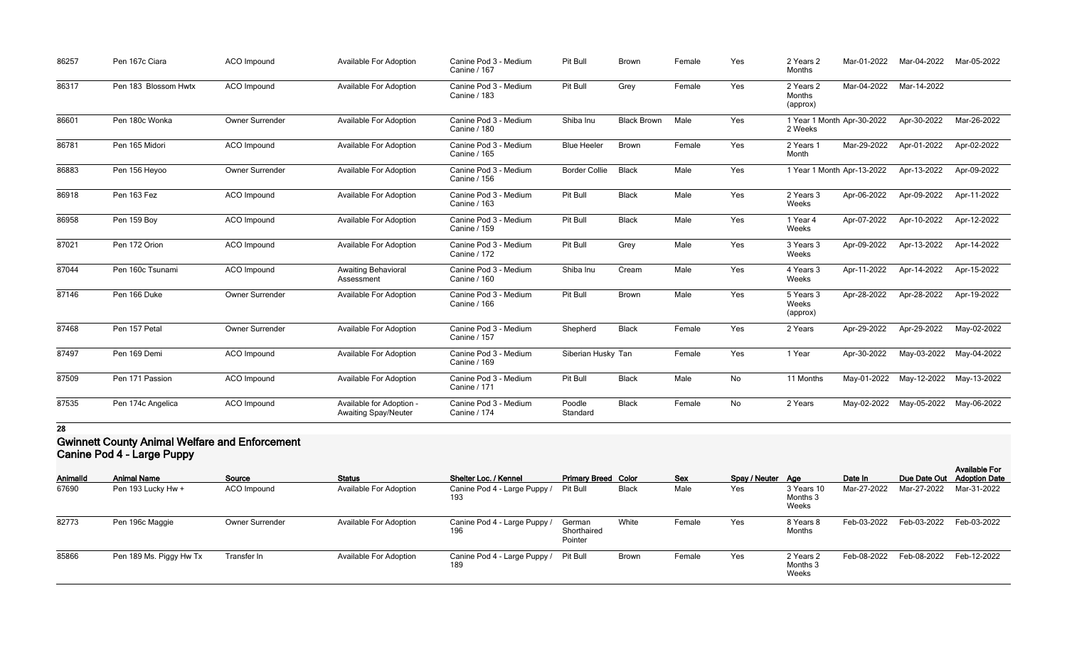| 86257 | Pen 167c Ciara       | ACO Impound        | Available For Adoption                                  | Canine Pod 3 - Medium<br>Canine / 167        | Pit Bull             | <b>Brown</b>       | Female | Yes | 2 Years 2<br>Months             | Mar-01-2022                | Mar-04-2022 | Mar-05-2022 |
|-------|----------------------|--------------------|---------------------------------------------------------|----------------------------------------------|----------------------|--------------------|--------|-----|---------------------------------|----------------------------|-------------|-------------|
| 86317 | Pen 183 Blossom Hwtx | <b>ACO</b> Impound | <b>Available For Adoption</b>                           | Canine Pod 3 - Medium<br>Canine / 183        | Pit Bull             | Grey               | Female | Yes | 2 Years 2<br>Months<br>(approx) | Mar-04-2022                | Mar-14-2022 |             |
| 86601 | Pen 180c Wonka       | Owner Surrender    | Available For Adoption                                  | Canine Pod 3 - Medium<br><b>Canine / 180</b> | Shiba Inu            | <b>Black Brown</b> | Male   | Yes | 2 Weeks                         | 1 Year 1 Month Apr-30-2022 | Apr-30-2022 | Mar-26-2022 |
| 86781 | Pen 165 Midori       | <b>ACO</b> Impound | <b>Available For Adoption</b>                           | Canine Pod 3 - Medium<br>Canine / 165        | <b>Blue Heeler</b>   | <b>Brown</b>       | Female | Yes | 2 Years 1<br>Month              | Mar-29-2022                | Apr-01-2022 | Apr-02-2022 |
| 86883 | Pen 156 Heyoo        | Owner Surrender    | <b>Available For Adoption</b>                           | Canine Pod 3 - Medium<br>Canine / 156        | <b>Border Collie</b> | <b>Black</b>       | Male   | Yes |                                 | 1 Year 1 Month Apr-13-2022 | Apr-13-2022 | Apr-09-2022 |
| 86918 | Pen 163 Fez          | ACO Impound        | <b>Available For Adoption</b>                           | Canine Pod 3 - Medium<br>Canine / 163        | Pit Bull             | <b>Black</b>       | Male   | Yes | 2 Years 3<br>Weeks              | Apr-06-2022                | Apr-09-2022 | Apr-11-2022 |
| 86958 | Pen 159 Boy          | ACO Impound        | Available For Adoption                                  | Canine Pod 3 - Medium<br><b>Canine / 159</b> | Pit Bull             | <b>Black</b>       | Male   | Yes | 1 Year 4<br>Weeks               | Apr-07-2022                | Apr-10-2022 | Apr-12-2022 |
| 87021 | Pen 172 Orion        | <b>ACO</b> Impound | <b>Available For Adoption</b>                           | Canine Pod 3 - Medium<br><b>Canine / 172</b> | Pit Bull             | Grey               | Male   | Yes | 3 Years 3<br>Weeks              | Apr-09-2022                | Apr-13-2022 | Apr-14-2022 |
| 87044 | Pen 160c Tsunami     | ACO Impound        | <b>Awaiting Behavioral</b><br>Assessment                | Canine Pod 3 - Medium<br>Canine / 160        | Shiba Inu            | Cream              | Male   | Yes | 4 Years 3<br>Weeks              | Apr-11-2022                | Apr-14-2022 | Apr-15-2022 |
| 87146 | Pen 166 Duke         | Owner Surrender    | Available For Adoption                                  | Canine Pod 3 - Medium<br><b>Canine / 166</b> | Pit Bull             | Brown              | Male   | Yes | 5 Years 3<br>Weeks<br>(approx)  | Apr-28-2022                | Apr-28-2022 | Apr-19-2022 |
| 87468 | Pen 157 Petal        | Owner Surrender    | <b>Available For Adoption</b>                           | Canine Pod 3 - Medium<br>Canine / 157        | Shepherd             | <b>Black</b>       | Female | Yes | 2 Years                         | Apr-29-2022                | Apr-29-2022 | May-02-2022 |
| 87497 | Pen 169 Demi         | <b>ACO</b> Impound | Available For Adoption                                  | Canine Pod 3 - Medium<br>Canine / 169        | Siberian Husky Tan   |                    | Female | Yes | 1 Year                          | Apr-30-2022                | May-03-2022 | May-04-2022 |
| 87509 | Pen 171 Passion      | ACO Impound        | <b>Available For Adoption</b>                           | Canine Pod 3 - Medium<br>Canine / 171        | Pit Bull             | <b>Black</b>       | Male   | No  | 11 Months                       | May-01-2022                | May-12-2022 | May-13-2022 |
| 87535 | Pen 174c Angelica    | <b>ACO</b> Impound | Available for Adoption -<br><b>Awaiting Spay/Neuter</b> | Canine Pod 3 - Medium<br>Canine / 174        | Poodle<br>Standard   | <b>Black</b>       | Female | No  | 2 Years                         | May-02-2022                | May-05-2022 | May-06-2022 |

#### **Gwinnett County Animal Welfare and Enforcement Canine Pod 4 - Large Puppy**

| Animalld | <b>Animal Name</b>      | Source          | <b>Status</b>                 | Shelter Loc. / Kennel               | <b>Primary Breed Color</b>       |              | <b>Sex</b> | Spay / Neuter Age |                                 | Date In     |             | <b>Available For</b><br>Due Date Out Adoption Date |
|----------|-------------------------|-----------------|-------------------------------|-------------------------------------|----------------------------------|--------------|------------|-------------------|---------------------------------|-------------|-------------|----------------------------------------------------|
| 67690    | Pen 193 Lucky Hw +      | ACO Impound     | <b>Available For Adoption</b> | Canine Pod 4 - Large Puppy<br>193   | Pit Bull                         | <b>Black</b> | Male       | Yes               | 3 Years 10<br>Months 3<br>Weeks | Mar-27-2022 | Mar-27-2022 | Mar-31-2022                                        |
| 82773    | Pen 196c Maggie         | Owner Surrender | <b>Available For Adoption</b> | Canine Pod 4 - Large Puppy /<br>196 | German<br>Shorthaired<br>Pointer | White        | Female     | Yes               | 8 Years 8<br>Months             | Feb-03-2022 | Feb-03-2022 | Feb-03-2022                                        |
| 85866    | Pen 189 Ms. Piggy Hw Tx | Transfer In     | <b>Available For Adoption</b> | Canine Pod 4 - Large Puppy /<br>189 | Pit Bull                         | <b>Brown</b> | Female     | Yes               | 2 Years 2<br>Months 3<br>Weeks  | Feb-08-2022 | Feb-08-2022 | Feb-12-2022                                        |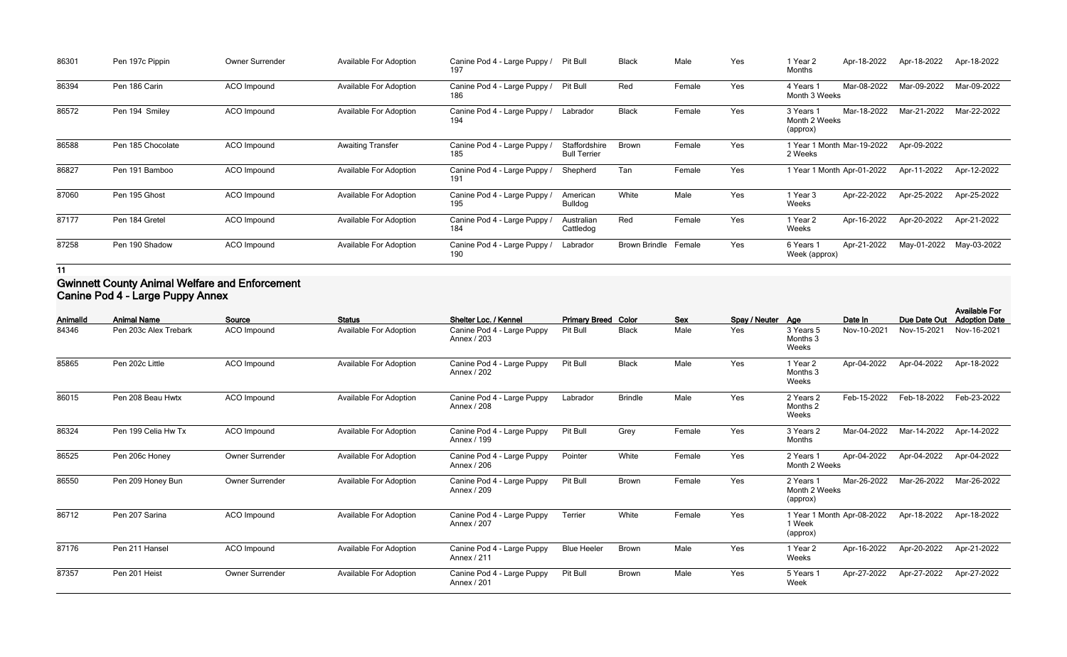| 86301 | Pen 197c Pippin   | <b>Owner Surrender</b> | <b>Available For Adoption</b> | Canine Pod 4 - Large Puppy /<br>197 | <b>Pit Bull</b>                      | <b>Black</b>         | Male   | Yes | 1 Year 2<br>Months                     | Apr-18-2022 | Apr-18-2022 | Apr-18-2022 |
|-------|-------------------|------------------------|-------------------------------|-------------------------------------|--------------------------------------|----------------------|--------|-----|----------------------------------------|-------------|-------------|-------------|
| 86394 | Pen 186 Carin     | ACO Impound            | <b>Available For Adoption</b> | Canine Pod 4 - Large Puppy /<br>186 | <b>Pit Bull</b>                      | Red                  | Female | Yes | 4 Years 1<br>Month 3 Weeks             | Mar-08-2022 | Mar-09-2022 | Mar-09-2022 |
| 86572 | Pen 194 Smiley    | ACO Impound            | <b>Available For Adoption</b> | Canine Pod 4 - Large Puppy /<br>194 | Labrador                             | <b>Black</b>         | Female | Yes | 3 Years 1<br>Month 2 Weeks<br>(approx) | Mar-18-2022 | Mar-21-2022 | Mar-22-2022 |
| 86588 | Pen 185 Chocolate | <b>ACO</b> Impound     | <b>Awaiting Transfer</b>      | Canine Pod 4 - Large Puppy /<br>185 | Staffordshire<br><b>Bull Terrier</b> | <b>Brown</b>         | Female | Yes | 1 Year 1 Month Mar-19-2022<br>2 Weeks  |             | Apr-09-2022 |             |
| 86827 | Pen 191 Bamboo    | ACO Impound            | <b>Available For Adoption</b> | Canine Pod 4 - Large Puppy /<br>191 | Shepherd                             | Tan                  | Female | Yes | 1 Year 1 Month Apr-01-2022             |             | Apr-11-2022 | Apr-12-2022 |
| 87060 | Pen 195 Ghost     | ACO Impound            | <b>Available For Adoption</b> | Canine Pod 4 - Large Puppy<br>195   | American<br>Bulldog                  | White                | Male   | Yes | 1 Year 3<br>Weeks                      | Apr-22-2022 | Apr-25-2022 | Apr-25-2022 |
| 87177 | Pen 184 Gretel    | ACO Impound            | <b>Available For Adoption</b> | Canine Pod 4 - Large Puppy /<br>184 | Australian<br>Cattledog              | Red                  | Female | Yes | 1 Year 2<br>Weeks                      | Apr-16-2022 | Apr-20-2022 | Apr-21-2022 |
| 87258 | Pen 190 Shadow    | ACO Impound            | <b>Available For Adoption</b> | Canine Pod 4 - Large Puppy /<br>190 | Labrador                             | Brown Brindle Female |        | Yes | 6 Years 1<br>Week (approx)             | Apr-21-2022 | May-01-2022 | May-03-2022 |

#### **Gwinnett County Animal Welfare and Enforcement Canine Pod 4 - Large Puppy Annex**

| <b>AnimalId</b> | <b>Animal Name</b>    | Source             | <b>Status</b>                 | Shelter Loc. / Kennel                     | <b>Primary Breed Color</b> |                | Sex    | Spay / Neuter Age |                                                  | Date In     | Due Date Out | <b>Available For</b><br><b>Adoption Date</b> |
|-----------------|-----------------------|--------------------|-------------------------------|-------------------------------------------|----------------------------|----------------|--------|-------------------|--------------------------------------------------|-------------|--------------|----------------------------------------------|
| 84346           | Pen 203c Alex Trebark | ACO Impound        | <b>Available For Adoption</b> | Canine Pod 4 - Large Puppy<br>Annex / 203 | Pit Bull                   | <b>Black</b>   | Male   | Yes               | 3 Years 5<br>Months 3<br>Weeks                   | Nov-10-2021 | Nov-15-2021  | Nov-16-2021                                  |
| 85865           | Pen 202c Little       | ACO Impound        | <b>Available For Adoption</b> | Canine Pod 4 - Large Puppy<br>Annex / 202 | Pit Bull                   | <b>Black</b>   | Male   | Yes               | 1 Year 2<br>Months 3<br>Weeks                    | Apr-04-2022 | Apr-04-2022  | Apr-18-2022                                  |
| 86015           | Pen 208 Beau Hwtx     | ACO Impound        | <b>Available For Adoption</b> | Canine Pod 4 - Large Puppy<br>Annex / 208 | Labrador                   | <b>Brindle</b> | Male   | Yes               | 2 Years 2<br>Months 2<br>Weeks                   | Feb-15-2022 | Feb-18-2022  | Feb-23-2022                                  |
| 86324           | Pen 199 Celia Hw Tx   | <b>ACO</b> Impound | <b>Available For Adoption</b> | Canine Pod 4 - Large Puppy<br>Annex / 199 | Pit Bull                   | Grey           | Female | Yes               | 3 Years 2<br>Months                              | Mar-04-2022 | Mar-14-2022  | Apr-14-2022                                  |
| 86525           | Pen 206c Honey        | Owner Surrender    | <b>Available For Adoption</b> | Canine Pod 4 - Large Puppy<br>Annex / 206 | Pointer                    | White          | Female | Yes               | 2 Years 1<br>Month 2 Weeks                       | Apr-04-2022 | Apr-04-2022  | Apr-04-2022                                  |
| 86550           | Pen 209 Honey Bun     | Owner Surrender    | <b>Available For Adoption</b> | Canine Pod 4 - Large Puppy<br>Annex / 209 | Pit Bull                   | Brown          | Female | Yes               | 2 Years 1<br>Month 2 Weeks<br>(approx)           | Mar-26-2022 | Mar-26-2022  | Mar-26-2022                                  |
| 86712           | Pen 207 Sarina        | <b>ACO</b> Impound | <b>Available For Adoption</b> | Canine Pod 4 - Large Puppy<br>Annex / 207 | Terrier                    | White          | Female | Yes               | 1 Year 1 Month Apr-08-2022<br>1 Week<br>(approx) |             | Apr-18-2022  | Apr-18-2022                                  |
| 87176           | Pen 211 Hansel        | ACO Impound        | <b>Available For Adoption</b> | Canine Pod 4 - Large Puppy<br>Annex / 211 | <b>Blue Heeler</b>         | Brown          | Male   | Yes               | 1 Year 2<br>Weeks                                | Apr-16-2022 | Apr-20-2022  | Apr-21-2022                                  |
| 87357           | Pen 201 Heist         | Owner Surrender    | <b>Available For Adoption</b> | Canine Pod 4 - Large Puppy<br>Annex / 201 | Pit Bull                   | <b>Brown</b>   | Male   | Yes               | 5 Years 1<br>Week                                | Apr-27-2022 | Apr-27-2022  | Apr-27-2022                                  |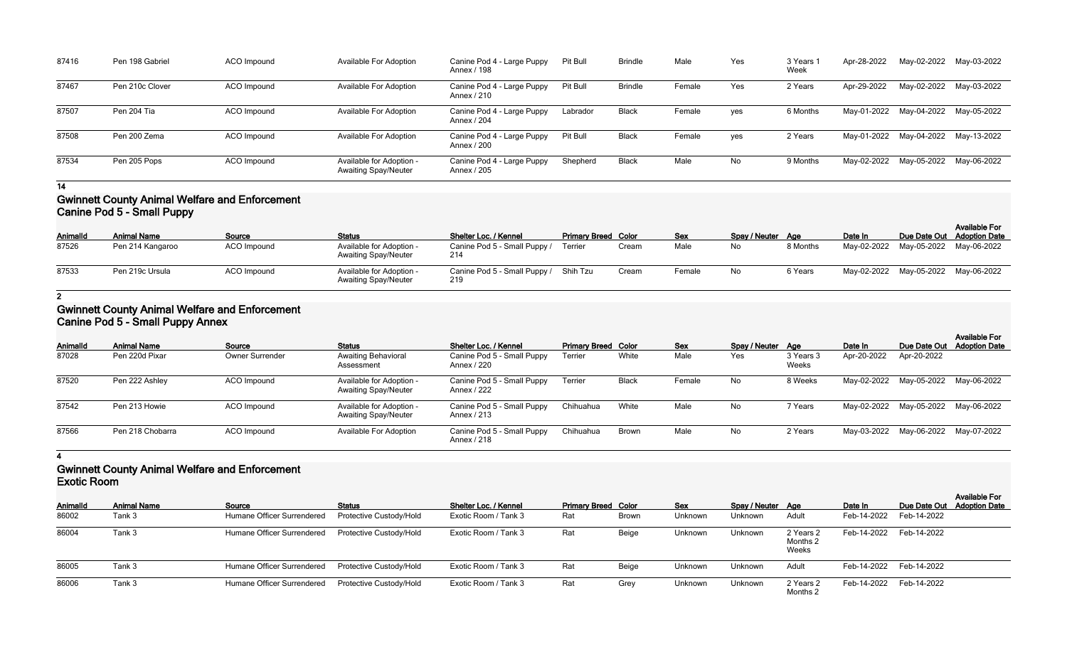| 87416 | Pen 198 Gabriel | ACO Impound | Available For Adoption                                  | Canine Pod 4 - Large Puppy<br>Annex / 198 | Pit Bull | <b>Brindle</b> | Male   | Yes | 3 Years<br>Week | Apr-28-2022 | May-02-2022 May-03-2022             |  |
|-------|-----------------|-------------|---------------------------------------------------------|-------------------------------------------|----------|----------------|--------|-----|-----------------|-------------|-------------------------------------|--|
| 87467 | Pen 210c Clover | ACO Impound | Available For Adoption                                  | Canine Pod 4 - Large Puppy<br>Annex / 210 | Pit Bull | <b>Brindle</b> | Female | Yes | 2 Years         | Apr-29-2022 | May-02-2022 May-03-2022             |  |
| 87507 | Pen 204 Tia     | ACO Impound | <b>Available For Adoption</b>                           | Canine Pod 4 - Large Puppy<br>Annex / 204 | Labrador | Black          | Female | yes | 6 Months        |             | May-01-2022 May-04-2022 May-05-2022 |  |
| 87508 | Pen 200 Zema    | ACO Impound | <b>Available For Adoption</b>                           | Canine Pod 4 - Large Puppy<br>Annex / 200 | Pit Bull | <b>Black</b>   | Female | yes | 2 Years         |             | May-01-2022 May-04-2022 May-13-2022 |  |
| 87534 | Pen 205 Pops    | ACO Impound | Available for Adoption -<br><b>Awaiting Spay/Neuter</b> | Canine Pod 4 - Large Puppy<br>Annex / 205 | Shepherd | <b>Black</b>   | Male   | No  | 9 Months        |             | May-02-2022 May-05-2022 May-06-2022 |  |

### **Gwinnett County Animal Welfare and Enforcement Canine Pod 5 - Small Puppy**

| Animalld | <b>Animal Name</b> | Source      | <b>Status</b>                                           | Shelter Loc. / Kennel                        | <b>Primary Breed Color</b> |       | <b>Sex</b> | Spay / Neuter Age |          | Date In |                                     | <b>Available For</b><br>Due Date Out Adoption Date |  |  |
|----------|--------------------|-------------|---------------------------------------------------------|----------------------------------------------|----------------------------|-------|------------|-------------------|----------|---------|-------------------------------------|----------------------------------------------------|--|--|
| 87526    | Pen 214 Kangaroo   | ACO Impound | Available for Adoption -<br><b>Awaiting Spay/Neuter</b> | Canine Pod 5 - Small Puppy /<br>-214         | Terrier                    | Cream | Male       | No                | 8 Months |         | May-02-2022 May-05-2022 May-06-2022 |                                                    |  |  |
| 87533    | Pen 219c Ursula    | ACO Impound | Available for Adoption -<br><b>Awaiting Spay/Neuter</b> | Canine Pod 5 - Small Puppy / Shih Tzu<br>219 |                            | Cream | Female     | No                | 6 Years  |         | May-02-2022 May-05-2022 May-06-2022 |                                                    |  |  |

**2**

#### **Gwinnett County Animal Welfare and Enforcement Canine Pod 5 - Small Puppy Annex**

|                 | $\frac{1}{2}$      |                        |                                                         |                                           |                            |              |            |                   |                    |             |                                     |                                              |  |  |
|-----------------|--------------------|------------------------|---------------------------------------------------------|-------------------------------------------|----------------------------|--------------|------------|-------------------|--------------------|-------------|-------------------------------------|----------------------------------------------|--|--|
| <b>AnimalId</b> | <b>Animal Name</b> | Source                 | <b>Status</b>                                           | Shelter Loc. / Kennel                     | <b>Primary Breed Color</b> |              | <b>Sex</b> | Spay / Neuter Age |                    | Date In     | Due Date Out                        | <b>Available For</b><br><b>Adoption Date</b> |  |  |
| 87028           | Pen 220d Pixar     | <b>Owner Surrender</b> | <b>Awaiting Behavioral</b><br>Assessment                | Canine Pod 5 - Small Puppy<br>Annex / 220 | Terrier                    | White        | Male       | Yes               | 3 Years 3<br>Weeks | Apr-20-2022 | Apr-20-2022                         |                                              |  |  |
| 87520           | Pen 222 Ashley     | ACO Impound            | Available for Adoption -<br><b>Awaiting Spay/Neuter</b> | Canine Pod 5 - Small Puppy<br>Annex / 222 | Terrier                    | <b>Black</b> | Female     | No                | 8 Weeks            |             | May-02-2022 May-05-2022             | May-06-2022                                  |  |  |
| 87542           | Pen 213 Howie      | ACO Impound            | Available for Adoption -<br><b>Awaiting Spay/Neuter</b> | Canine Pod 5 - Small Puppy<br>Annex / 213 | Chihuahua                  | White        | Male       | No                | 7 Years            |             | May-02-2022 May-05-2022 May-06-2022 |                                              |  |  |
| 87566           | Pen 218 Chobarra   | ACO Impound            | <b>Available For Adoption</b>                           | Canine Pod 5 - Small Puppy<br>Annex / 218 | Chihuahua                  | Brown        | Male       | No                | 2 Years            |             | May-03-2022 May-06-2022             | May-07-2022                                  |  |  |

**4**

## **Gwinnett County Animal Welfare and Enforcement Exotic Room**

| <b>AnimalId</b> | <b>Animal Name</b> | Source                            | <b>Status</b>                  | Shelter Loc. / Kennel | <b>Primary Breed Color</b> |       | <b>Sex</b>     | Spay / Neuter Age |                                | Date In     |                         | <b>Available For</b><br>Due Date Out Adoption Date |
|-----------------|--------------------|-----------------------------------|--------------------------------|-----------------------|----------------------------|-------|----------------|-------------------|--------------------------------|-------------|-------------------------|----------------------------------------------------|
| 86002           | Tank 3             | Humane Officer Surrendered        | <b>Protective Custody/Hold</b> | Exotic Room / Tank 3  | Rat                        | Brown | <b>Unknown</b> | Unknown           | Adult                          | Feb-14-2022 | Feb-14-2022             |                                                    |
| 86004           | Tank 3             | <b>Humane Officer Surrendered</b> | Protective Custody/Hold        | Exotic Room / Tank 3  | Rat                        | Beige | Unknown        | Unknown           | 2 Years 2<br>Months 2<br>Weeks |             | Feb-14-2022 Feb-14-2022 |                                                    |
| 86005           | Tank 3             | Humane Officer Surrendered        | <b>Protective Custody/Hold</b> | Exotic Room / Tank 3  | Rat                        | Beige | Unknown        | Unknown           | Adult                          |             | Feb-14-2022 Feb-14-2022 |                                                    |
| 86006           | Tank 3             | Humane Officer Surrendered        | Protective Custody/Hold        | Exotic Room / Tank 3  | Rat                        | Grey  | <b>Unknown</b> | Unknown           | 2 Years 2<br>Months 2          |             | Feb-14-2022 Feb-14-2022 |                                                    |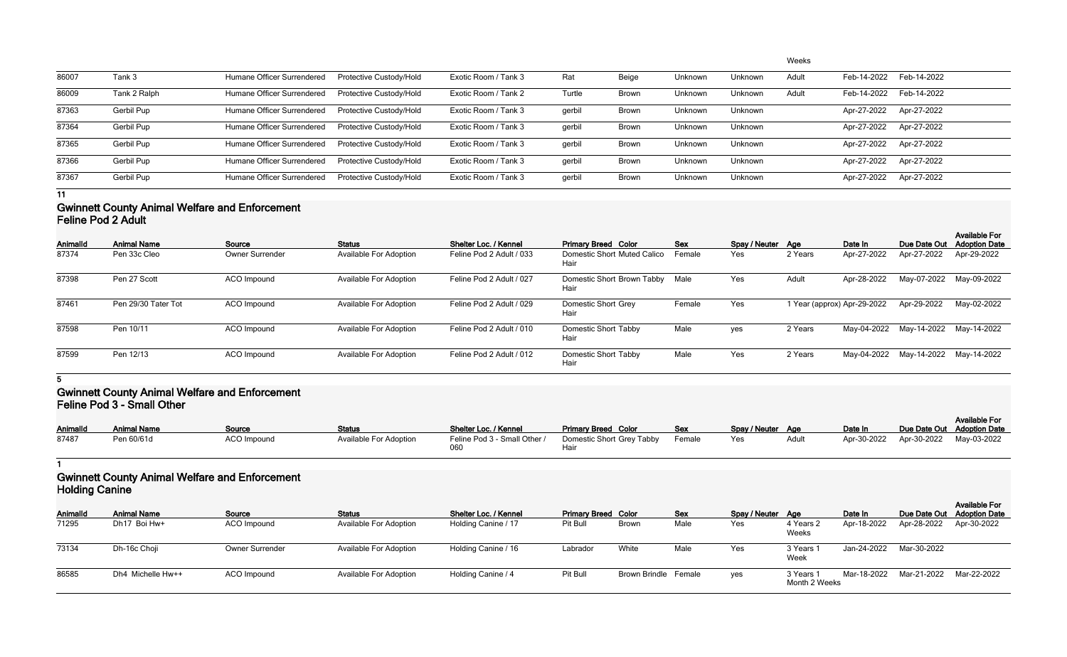|       |              |                            |                                |                      |        |              |         |         | Weeks |             |                         |
|-------|--------------|----------------------------|--------------------------------|----------------------|--------|--------------|---------|---------|-------|-------------|-------------------------|
| 86007 | Tank 3       | Humane Officer Surrendered | Protective Custody/Hold        | Exotic Room / Tank 3 | Rat    | Beige        | Unknown | Unknown | Adult | Feb-14-2022 | Feb-14-2022             |
| 86009 | Tank 2 Ralph | Humane Officer Surrendered | <b>Protective Custody/Hold</b> | Exotic Room / Tank 2 | Turtle | <b>Brown</b> | Unknown | Unknown | Adult | Feb-14-2022 | Feb-14-2022             |
| 87363 | Gerbil Pup   | Humane Officer Surrendered | Protective Custody/Hold        | Exotic Room / Tank 3 | gerbil | <b>Brown</b> | Unknown | Unknown |       | Apr-27-2022 | Apr-27-2022             |
| 87364 | Gerbil Pup   | Humane Officer Surrendered | Protective Custody/Hold        | Exotic Room / Tank 3 | gerbil | <b>Brown</b> | Unknown | Unknown |       |             | Apr-27-2022 Apr-27-2022 |
| 87365 | Gerbil Pup   | Humane Officer Surrendered | Protective Custody/Hold        | Exotic Room / Tank 3 | gerbil | <b>Brown</b> | Unknown | Unknown |       |             | Apr-27-2022 Apr-27-2022 |
| 87366 | Gerbil Pup   | Humane Officer Surrendered | Protective Custody/Hold        | Exotic Room / Tank 3 | gerbil | <b>Brown</b> | Unknown | Unknown |       |             | Apr-27-2022 Apr-27-2022 |
| 87367 | Gerbil Pup   | Humane Officer Surrendered | Protective Custody/Hold        | Exotic Room / Tank 3 | gerbil | <b>Brown</b> | Unknown | Unknown |       | Apr-27-2022 | Apr-27-2022             |
|       |              |                            |                                |                      |        |              |         |         |       |             |                         |

#### **Gwinnett County Animal Welfare and Enforcement Feline Pod 2 Adult**

| Animalld | <b>Animal Name</b>  | Source                 | <b>Status</b>                 | Shelter Loc. / Kennel    | <b>Primary Breed Color</b>          | <b>Sex</b> | Spay / Neuter Age |         | Date In                     | Due Date Out | <b>Available For</b><br><b>Adoption Date</b> |
|----------|---------------------|------------------------|-------------------------------|--------------------------|-------------------------------------|------------|-------------------|---------|-----------------------------|--------------|----------------------------------------------|
| 87374    | Pen 33c Cleo        | <b>Owner Surrender</b> | <b>Available For Adoption</b> | Feline Pod 2 Adult / 033 | Domestic Short Muted Calico<br>Hair | Female     | Yes               | 2 Years | Apr-27-2022                 | Apr-27-2022  | Apr-29-2022                                  |
| 87398    | Pen 27 Scott        | ACO Impound            | <b>Available For Adoption</b> | Feline Pod 2 Adult / 027 | Domestic Short Brown Tabby<br>Hair  | Male       | Yes               | Adult   | Apr-28-2022                 | May-07-2022  | May-09-2022                                  |
| 87461    | Pen 29/30 Tater Tot | ACO Impound            | <b>Available For Adoption</b> | Feline Pod 2 Adult / 029 | Domestic Short Grey<br>Hair         | Female     | Yes               |         | 1 Year (approx) Apr-29-2022 | Apr-29-2022  | May-02-2022                                  |
| 87598    | Pen 10/11           | ACO Impound            | <b>Available For Adoption</b> | Feline Pod 2 Adult / 010 | <b>Domestic Short Tabby</b><br>Hair | Male       | yes               | 2 Years | May-04-2022                 | May-14-2022  | May-14-2022                                  |
| 87599    | Pen 12/13           | ACO Impound            | <b>Available For Adoption</b> | Feline Pod 2 Adult / 012 | Domestic Short Tabby<br>Hair        | Male       | Yes               | 2 Years | May-04-2022                 | May-14-2022  | May-14-2022                                  |

**5**

#### **Gwinnett County Animal Welfare and Enforcement Feline Pod 3 - Small Other**

| Animalld | <b>Animal Name</b> | Source      | <b>Status</b>                 | Shelter Loc. / Kennel        | <b>Primary Breed Color</b> | Sex    | Spay / Neuter Age |       | Date In | Due Date Out Adoption Date          | <b>Available For</b> |
|----------|--------------------|-------------|-------------------------------|------------------------------|----------------------------|--------|-------------------|-------|---------|-------------------------------------|----------------------|
| 87487    | Pen 60/61d         | ACO Impound | <b>Available For Adoption</b> | Feline Pod 3 - Small Other / | Domestic Short Grey Tabby  | Female | Yes               | Adult |         | Apr-30-2022 Apr-30-2022 May-03-2022 |                      |

#### **1 Gwinnett County Animal Welfare and Enforcement Holding Canine**

|                 | <b>TIVIUILY VUITILY</b> |                        |                               |                              |                            |                      |            |                   |                            |             |                            |                      |  |  |
|-----------------|-------------------------|------------------------|-------------------------------|------------------------------|----------------------------|----------------------|------------|-------------------|----------------------------|-------------|----------------------------|----------------------|--|--|
| <b>AnimalId</b> | <b>Animal Name</b>      | Source                 | <b>Status</b>                 | <b>Shelter Loc. / Kennel</b> | <b>Primary Breed Color</b> |                      | <b>Sex</b> | Spay / Neuter Age |                            | Date In     | Due Date Out Adoption Date | <b>Available For</b> |  |  |
| 71295           | Dh17 Boi Hw+            | ACO Impound            | <b>Available For Adoption</b> | Holding Canine / 17          | Pit Bull                   | <b>Brown</b>         | Male       | Yes               | 4 Years 2<br>Weeks         | Apr-18-2022 | Apr-28-2022                | Apr-30-2022          |  |  |
| 73134           | Dh-16c Choji            | <b>Owner Surrender</b> | <b>Available For Adoption</b> | Holding Canine / 16          | Labrador                   | White                | Male       | Yes               | 3 Years<br>Week            | Jan-24-2022 | Mar-30-2022                |                      |  |  |
| 86585           | Dh4 Michelle Hw++       | <b>ACO</b> Impound     | <b>Available For Adoption</b> | Holding Canine / 4           | Pit Bull                   | Brown Brindle Female |            | yes               | 3 Years 1<br>Month 2 Weeks | Mar-18-2022 | Mar-21-2022                | Mar-22-2022          |  |  |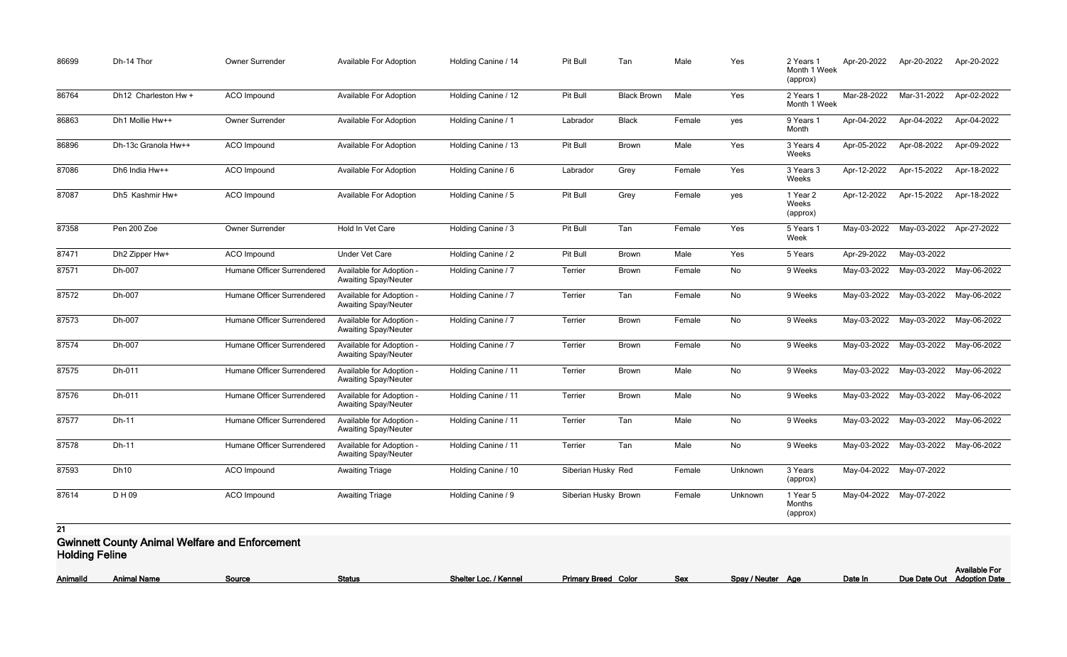| 86699 | Dh-14 Thor                                            | Owner Surrender            | <b>Available For Adoption</b>                           | Holding Canine / 14 | Pit Bull             | Tan                | Male   | Yes     | 2 Years 1<br>Month 1 Week<br>(approx) | Apr-20-2022 | Apr-20-2022             | Apr-20-2022 |
|-------|-------------------------------------------------------|----------------------------|---------------------------------------------------------|---------------------|----------------------|--------------------|--------|---------|---------------------------------------|-------------|-------------------------|-------------|
| 86764 | Dh12 Charleston Hw +                                  | <b>ACO</b> Impound         | <b>Available For Adoption</b>                           | Holding Canine / 12 | Pit Bull             | <b>Black Brown</b> | Male   | Yes     | 2 Years 1<br>Month 1 Week             | Mar-28-2022 | Mar-31-2022             | Apr-02-2022 |
| 86863 | Dh1 Mollie Hw++                                       | Owner Surrender            | <b>Available For Adoption</b>                           | Holding Canine / 1  | Labrador             | <b>Black</b>       | Female | yes     | 9 Years 1<br>Month                    | Apr-04-2022 | Apr-04-2022             | Apr-04-2022 |
| 86896 | Dh-13c Granola Hw++                                   | ACO Impound                | Available For Adoption                                  | Holding Canine / 13 | Pit Bull             | <b>Brown</b>       | Male   | Yes     | 3 Years 4<br>Weeks                    | Apr-05-2022 | Apr-08-2022             | Apr-09-2022 |
| 87086 | Dh6 India Hw++                                        | ACO Impound                | <b>Available For Adoption</b>                           | Holding Canine / 6  | Labrador             | Grey               | Female | Yes     | 3 Years 3<br>Weeks                    | Apr-12-2022 | Apr-15-2022             | Apr-18-2022 |
| 87087 | Dh5 Kashmir Hw+                                       | ACO Impound                | <b>Available For Adoption</b>                           | Holding Canine / 5  | Pit Bull             | Grey               | Female | yes     | 1 Year 2<br>Weeks<br>(approx)         | Apr-12-2022 | Apr-15-2022             | Apr-18-2022 |
| 87358 | Pen 200 Zoe                                           | Owner Surrender            | Hold In Vet Care                                        | Holding Canine / 3  | Pit Bull             | Tan                | Female | Yes     | 5 Years 1<br>Week                     | May-03-2022 | May-03-2022             | Apr-27-2022 |
| 87471 | Dh2 Zipper Hw+                                        | ACO Impound                | <b>Under Vet Care</b>                                   | Holding Canine / 2  | Pit Bull             | <b>Brown</b>       | Male   | Yes     | 5 Years                               | Apr-29-2022 | May-03-2022             |             |
| 87571 | Dh-007                                                | Humane Officer Surrendered | Available for Adoption -<br><b>Awaiting Spay/Neuter</b> | Holding Canine / 7  | Terrier              | <b>Brown</b>       | Female | No      | 9 Weeks                               | May-03-2022 | May-03-2022             | May-06-2022 |
| 87572 | Dh-007                                                | Humane Officer Surrendered | Available for Adoption -<br><b>Awaiting Spay/Neuter</b> | Holding Canine / 7  | Terrier              | Tan                | Female | No      | 9 Weeks                               | May-03-2022 | May-03-2022             | May-06-2022 |
| 87573 | Dh-007                                                | Humane Officer Surrendered | Available for Adoption -<br><b>Awaiting Spay/Neuter</b> | Holding Canine / 7  | Terrier              | <b>Brown</b>       | Female | No      | 9 Weeks                               | May-03-2022 | May-03-2022             | May-06-2022 |
| 87574 | Dh-007                                                | Humane Officer Surrendered | Available for Adoption -<br><b>Awaiting Spay/Neuter</b> | Holding Canine / 7  | Terrier              | <b>Brown</b>       | Female | No      | 9 Weeks                               | May-03-2022 | May-03-2022             | May-06-2022 |
| 87575 | Dh-011                                                | Humane Officer Surrendered | Available for Adoption -<br><b>Awaiting Spay/Neuter</b> | Holding Canine / 11 | Terrier              | <b>Brown</b>       | Male   | No      | 9 Weeks                               | May-03-2022 | May-03-2022             | May-06-2022 |
| 87576 | Dh-011                                                | Humane Officer Surrendered | Available for Adoption -<br><b>Awaiting Spay/Neuter</b> | Holding Canine / 11 | Terrier              | <b>Brown</b>       | Male   | No      | 9 Weeks                               | May-03-2022 | May-03-2022             | May-06-2022 |
| 87577 | Dh-11                                                 | Humane Officer Surrendered | Available for Adoption -<br><b>Awaiting Spay/Neuter</b> | Holding Canine / 11 | Terrier              | Tan                | Male   | No      | 9 Weeks                               |             | May-03-2022 May-03-2022 | May-06-2022 |
| 87578 | Dh-11                                                 | Humane Officer Surrendered | Available for Adoption -<br><b>Awaiting Spay/Neuter</b> | Holding Canine / 11 | Terrier              | Tan                | Male   | No      | 9 Weeks                               |             | May-03-2022 May-03-2022 | May-06-2022 |
| 87593 | <b>Dh10</b>                                           | ACO Impound                | <b>Awaiting Triage</b>                                  | Holding Canine / 10 | Siberian Husky Red   |                    | Female | Unknown | 3 Years<br>(approx)                   |             | May-04-2022 May-07-2022 |             |
| 87614 | D H 09                                                | ACO Impound                | <b>Awaiting Triage</b>                                  | Holding Canine / 9  | Siberian Husky Brown |                    | Female | Unknown | 1 Year 5<br>Months<br>(approx)        |             | May-04-2022 May-07-2022 |             |
| 21    |                                                       |                            |                                                         |                     |                      |                    |        |         |                                       |             |                         |             |
|       | <b>Gwinnett County Animal Welfare and Enforcement</b> |                            |                                                         |                     |                      |                    |        |         |                                       |             |                         |             |

**Holding Feline**

| <b>AnimalId</b> | <b>Animal Name</b> | Source | <b>Status</b> | / Kennel<br>- Shelte.<br>$\sim$ | Primary Breed Color | Sex | Snav | $\cdots$<br>, Neuter<br>Аає | Date In | Date Out |
|-----------------|--------------------|--------|---------------|---------------------------------|---------------------|-----|------|-----------------------------|---------|----------|
|                 |                    |        |               |                                 |                     |     |      |                             |         |          |

|                   |         | <b>Available For</b>       |
|-------------------|---------|----------------------------|
| Spay / Neuter Age | Date In | Due Date Out Adoption Date |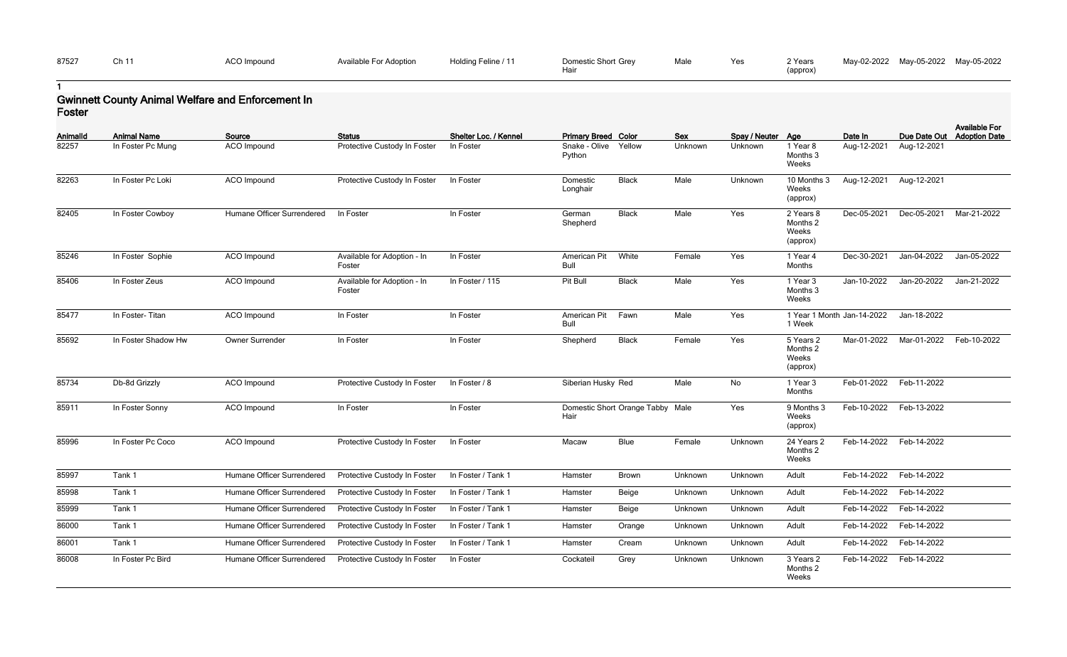| Yes. | 2 Years<br>(approx) | May-02-2022 May-05-2022 May-05-2022 |  |
|------|---------------------|-------------------------------------|--|
|      |                     |                                     |  |

### **1 Gwinnett County Animal Welfare and Enforcement In Foster**

| <b>AnimalId</b> | <b>Animal Name</b>  | Source                     | <b>Status</b>                         | Shelter Loc. / Kennel | <b>Primary Breed Color</b>  |                                  | Sex     | Spay / Neuter Age |                                            | Date In     | Due Date Out            | <b>Available For</b><br><b>Adoption Date</b> |
|-----------------|---------------------|----------------------------|---------------------------------------|-----------------------|-----------------------------|----------------------------------|---------|-------------------|--------------------------------------------|-------------|-------------------------|----------------------------------------------|
| 82257           | In Foster Pc Mung   | ACO Impound                | Protective Custody In Foster          | In Foster             | Snake - Olive<br>Python     | Yellow                           | Unknown | Unknown           | 1 Year 8<br>Months 3<br>Weeks              | Aug-12-2021 | Aug-12-2021             |                                              |
| 82263           | In Foster Pc Loki   | ACO Impound                | Protective Custody In Foster          | In Foster             | Domestic<br>Longhair        | <b>Black</b>                     | Male    | Unknown           | 10 Months 3<br>Weeks<br>(approx)           | Aug-12-2021 | Aug-12-2021             |                                              |
| 82405           | In Foster Cowboy    | Humane Officer Surrendered | In Foster                             | In Foster             | German<br>Shepherd          | <b>Black</b>                     | Male    | Yes               | 2 Years 8<br>Months 2<br>Weeks<br>(approx) | Dec-05-2021 | Dec-05-2021             | Mar-21-2022                                  |
| 85246           | In Foster Sophie    | ACO Impound                | Available for Adoption - In<br>Foster | In Foster             | American Pit<br><b>Bull</b> | White                            | Female  | Yes               | 1 Year 4<br>Months                         | Dec-30-2021 | Jan-04-2022             | Jan-05-2022                                  |
| 85406           | In Foster Zeus      | ACO Impound                | Available for Adoption - In<br>Foster | In Foster / 115       | Pit Bull                    | <b>Black</b>                     | Male    | Yes               | 1 Year 3<br>Months 3<br>Weeks              | Jan-10-2022 | Jan-20-2022             | Jan-21-2022                                  |
| 85477           | In Foster-Titan     | ACO Impound                | In Foster                             | In Foster             | American Pit<br>Bull        | Fawn                             | Male    | Yes               | 1 Year 1 Month Jan-14-2022<br>1 Week       |             | Jan-18-2022             |                                              |
| 85692           | In Foster Shadow Hw | Owner Surrender            | In Foster                             | In Foster             | Shepherd                    | <b>Black</b>                     | Female  | Yes               | 5 Years 2<br>Months 2<br>Weeks<br>(approx) | Mar-01-2022 | Mar-01-2022             | Feb-10-2022                                  |
| 85734           | Db-8d Grizzly       | ACO Impound                | Protective Custody In Foster          | In Foster / 8         | Siberian Husky Red          |                                  | Male    | No                | 1 Year 3<br>Months                         | Feb-01-2022 | Feb-11-2022             |                                              |
| 85911           | In Foster Sonny     | ACO Impound                | In Foster                             | In Foster             | Hair                        | Domestic Short Orange Tabby Male |         | Yes               | 9 Months 3<br>Weeks<br>(approx)            | Feb-10-2022 | Feb-13-2022             |                                              |
| 85996           | In Foster Pc Coco   | ACO Impound                | Protective Custody In Foster          | In Foster             | Macaw                       | Blue                             | Female  | Unknown           | 24 Years 2<br>Months 2<br>Weeks            | Feb-14-2022 | Feb-14-2022             |                                              |
| 85997           | Tank 1              | Humane Officer Surrendered | Protective Custody In Foster          | In Foster / Tank 1    | Hamster                     | <b>Brown</b>                     | Unknown | Unknown           | Adult                                      |             | Feb-14-2022 Feb-14-2022 |                                              |
| 85998           | Tank 1              | Humane Officer Surrendered | Protective Custody In Foster          | In Foster / Tank 1    | Hamster                     | Beige                            | Unknown | Unknown           | Adult                                      | Feb-14-2022 | Feb-14-2022             |                                              |
| 85999           | Tank 1              | Humane Officer Surrendered | Protective Custody In Foster          | In Foster / Tank 1    | Hamster                     | Beige                            | Unknown | Unknown           | Adult                                      | Feb-14-2022 | Feb-14-2022             |                                              |
| 86000           | Tank 1              | Humane Officer Surrendered | Protective Custody In Foster          | In Foster / Tank 1    | Hamster                     | Orange                           | Unknown | Unknown           | Adult                                      | Feb-14-2022 | Feb-14-2022             |                                              |
| 86001           | Tank 1              | Humane Officer Surrendered | Protective Custody In Foster          | In Foster / Tank 1    | Hamster                     | Cream                            | Unknown | Unknown           | Adult                                      | Feb-14-2022 | Feb-14-2022             |                                              |
| 86008           | In Foster Pc Bird   | Humane Officer Surrendered | Protective Custody In Foster          | In Foster             | Cockateil                   | Grey                             | Unknown | Unknown           | 3 Years 2<br>Months 2<br>Weeks             |             | Feb-14-2022 Feb-14-2022 |                                              |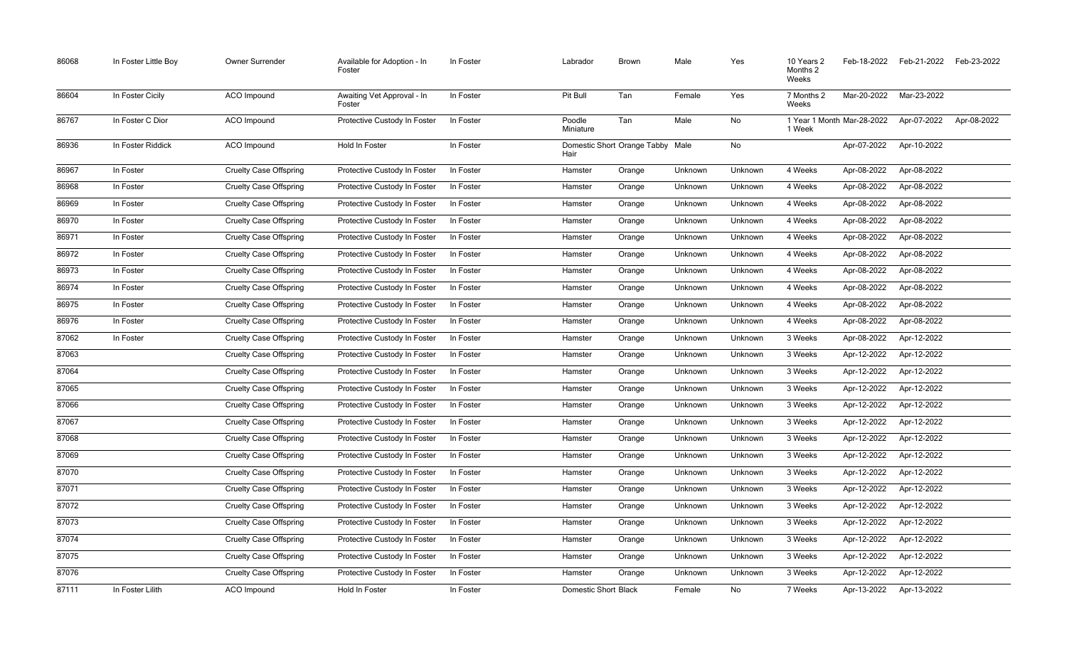| 86068 | In Foster Little Boy | Owner Surrender               | Available for Adoption - In<br>Foster | In Foster | Labrador                                 | <b>Brown</b> | Male    | Yes     | 10 Years 2<br>Months 2<br>Weeks      | Feb-18-2022 | Feb-21-2022 | Feb-23-2022 |
|-------|----------------------|-------------------------------|---------------------------------------|-----------|------------------------------------------|--------------|---------|---------|--------------------------------------|-------------|-------------|-------------|
| 86604 | In Foster Cicily     | <b>ACO</b> Impound            | Awaiting Vet Approval - In<br>Foster  | In Foster | Pit Bull                                 | Tan          | Female  | Yes     | 7 Months 2<br>Weeks                  | Mar-20-2022 | Mar-23-2022 |             |
| 86767 | In Foster C Dior     | <b>ACO</b> Impound            | Protective Custody In Foster          | In Foster | Poodle<br>Miniature                      | Tan          | Male    | No      | 1 Year 1 Month Mar-28-2022<br>1 Week |             | Apr-07-2022 | Apr-08-2022 |
| 86936 | In Foster Riddick    | ACO Impound                   | Hold In Foster                        | In Foster | Domestic Short Orange Tabby Male<br>Hair |              |         | No      |                                      | Apr-07-2022 | Apr-10-2022 |             |
| 86967 | In Foster            | <b>Cruelty Case Offspring</b> | Protective Custody In Foster          | In Foster | Hamster                                  | Orange       | Unknown | Unknown | 4 Weeks                              | Apr-08-2022 | Apr-08-2022 |             |
| 86968 | In Foster            | <b>Cruelty Case Offspring</b> | Protective Custody In Foster          | In Foster | Hamster                                  | Orange       | Unknown | Unknown | 4 Weeks                              | Apr-08-2022 | Apr-08-2022 |             |
| 86969 | In Foster            | <b>Cruelty Case Offspring</b> | Protective Custody In Foster          | In Foster | Hamster                                  | Orange       | Unknown | Unknown | 4 Weeks                              | Apr-08-2022 | Apr-08-2022 |             |
| 86970 | In Foster            | <b>Cruelty Case Offspring</b> | Protective Custody In Foster          | In Foster | Hamster                                  | Orange       | Unknown | Unknown | 4 Weeks                              | Apr-08-2022 | Apr-08-2022 |             |
| 86971 | In Foster            | <b>Cruelty Case Offspring</b> | Protective Custody In Foster          | In Foster | Hamster                                  | Orange       | Unknown | Unknown | 4 Weeks                              | Apr-08-2022 | Apr-08-2022 |             |
| 86972 | In Foster            | <b>Cruelty Case Offspring</b> | Protective Custody In Foster          | In Foster | Hamster                                  | Orange       | Unknown | Unknown | 4 Weeks                              | Apr-08-2022 | Apr-08-2022 |             |
| 86973 | In Foster            | <b>Cruelty Case Offspring</b> | Protective Custody In Foster          | In Foster | Hamster                                  | Orange       | Unknown | Unknown | 4 Weeks                              | Apr-08-2022 | Apr-08-2022 |             |
| 86974 | In Foster            | <b>Cruelty Case Offspring</b> | Protective Custody In Foster          | In Foster | Hamster                                  | Orange       | Unknown | Unknown | 4 Weeks                              | Apr-08-2022 | Apr-08-2022 |             |
| 86975 | In Foster            | <b>Cruelty Case Offspring</b> | Protective Custody In Foster          | In Foster | Hamster                                  | Orange       | Unknown | Unknown | 4 Weeks                              | Apr-08-2022 | Apr-08-2022 |             |
| 86976 | In Foster            | <b>Cruelty Case Offspring</b> | Protective Custody In Foster          | In Foster | Hamster                                  | Orange       | Unknown | Unknown | 4 Weeks                              | Apr-08-2022 | Apr-08-2022 |             |
| 87062 | In Foster            | <b>Cruelty Case Offspring</b> | Protective Custody In Foster          | In Foster | Hamster                                  | Orange       | Unknown | Unknown | 3 Weeks                              | Apr-08-2022 | Apr-12-2022 |             |
| 87063 |                      | <b>Cruelty Case Offspring</b> | Protective Custody In Foster          | In Foster | Hamster                                  | Orange       | Unknown | Unknown | 3 Weeks                              | Apr-12-2022 | Apr-12-2022 |             |
| 87064 |                      | <b>Cruelty Case Offspring</b> | Protective Custody In Foster          | In Foster | Hamster                                  | Orange       | Unknown | Unknown | 3 Weeks                              | Apr-12-2022 | Apr-12-2022 |             |
| 87065 |                      | <b>Cruelty Case Offspring</b> | Protective Custody In Foster          | In Foster | Hamster                                  | Orange       | Unknown | Unknown | 3 Weeks                              | Apr-12-2022 | Apr-12-2022 |             |
| 87066 |                      | <b>Cruelty Case Offspring</b> | Protective Custody In Foster          | In Foster | Hamster                                  | Orange       | Unknown | Unknown | 3 Weeks                              | Apr-12-2022 | Apr-12-2022 |             |
| 87067 |                      | <b>Cruelty Case Offspring</b> | Protective Custody In Foster          | In Foster | Hamster                                  | Orange       | Unknown | Unknown | 3 Weeks                              | Apr-12-2022 | Apr-12-2022 |             |
| 87068 |                      | <b>Cruelty Case Offspring</b> | Protective Custody In Foster          | In Foster | Hamster                                  | Orange       | Unknown | Unknown | 3 Weeks                              | Apr-12-2022 | Apr-12-2022 |             |
| 87069 |                      | <b>Cruelty Case Offspring</b> | Protective Custody In Foster          | In Foster | Hamster                                  | Orange       | Unknown | Unknown | 3 Weeks                              | Apr-12-2022 | Apr-12-2022 |             |
| 87070 |                      | <b>Cruelty Case Offspring</b> | Protective Custody In Foster          | In Foster | Hamster                                  | Orange       | Unknown | Unknown | 3 Weeks                              | Apr-12-2022 | Apr-12-2022 |             |
| 87071 |                      | <b>Cruelty Case Offspring</b> | Protective Custody In Foster          | In Foster | Hamster                                  | Orange       | Unknown | Unknown | 3 Weeks                              | Apr-12-2022 | Apr-12-2022 |             |
| 87072 |                      | <b>Cruelty Case Offspring</b> | Protective Custody In Foster          | In Foster | Hamster                                  | Orange       | Unknown | Unknown | 3 Weeks                              | Apr-12-2022 | Apr-12-2022 |             |
| 87073 |                      | <b>Cruelty Case Offspring</b> | Protective Custody In Foster          | In Foster | Hamster                                  | Orange       | Unknown | Unknown | 3 Weeks                              | Apr-12-2022 | Apr-12-2022 |             |
| 87074 |                      | <b>Cruelty Case Offspring</b> | Protective Custody In Foster          | In Foster | Hamster                                  | Orange       | Unknown | Unknown | 3 Weeks                              | Apr-12-2022 | Apr-12-2022 |             |
| 87075 |                      | <b>Cruelty Case Offspring</b> | Protective Custody In Foster          | In Foster | Hamster                                  | Orange       | Unknown | Unknown | 3 Weeks                              | Apr-12-2022 | Apr-12-2022 |             |
| 87076 |                      | <b>Cruelty Case Offspring</b> | Protective Custody In Foster          | In Foster | Hamster                                  | Orange       | Unknown | Unknown | 3 Weeks                              | Apr-12-2022 | Apr-12-2022 |             |
| 87111 | In Foster Lilith     | ACO Impound                   | Hold In Foster                        | In Foster | <b>Domestic Short Black</b>              |              | Female  | No      | 7 Weeks                              | Apr-13-2022 | Apr-13-2022 |             |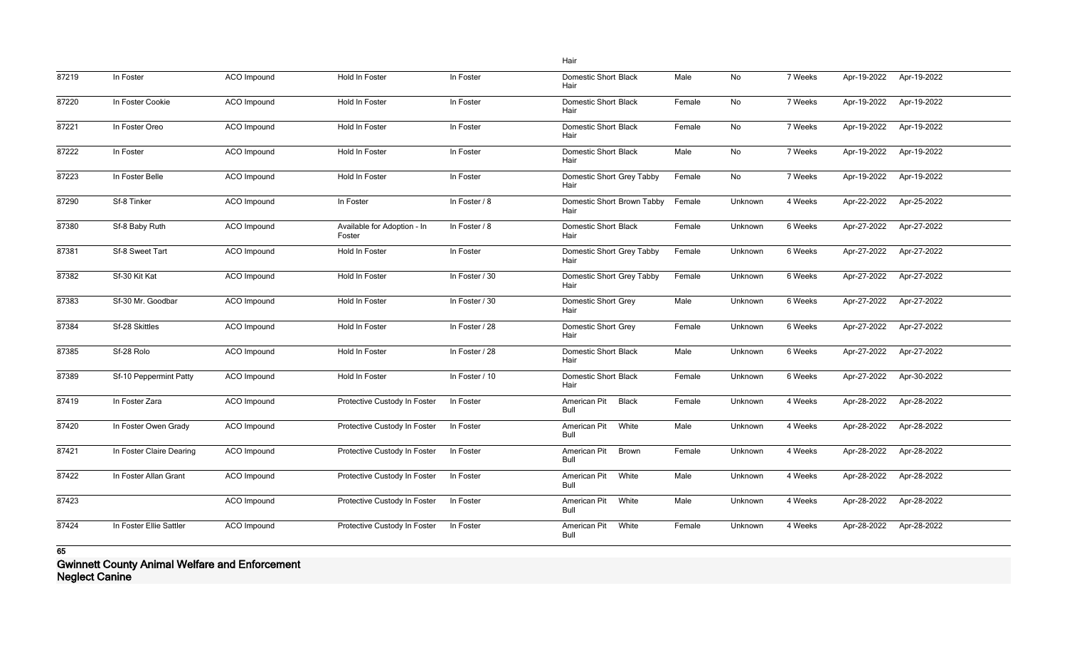|       |                          |                    |                                       |                | Hair                                |        |         |         |             |             |
|-------|--------------------------|--------------------|---------------------------------------|----------------|-------------------------------------|--------|---------|---------|-------------|-------------|
| 87219 | In Foster                | <b>ACO</b> Impound | Hold In Foster                        | In Foster      | <b>Domestic Short Black</b><br>Hair | Male   | No      | 7 Weeks | Apr-19-2022 | Apr-19-2022 |
| 87220 | In Foster Cookie         | ACO Impound        | Hold In Foster                        | In Foster      | <b>Domestic Short Black</b><br>Hair | Female | No      | 7 Weeks | Apr-19-2022 | Apr-19-2022 |
| 87221 | In Foster Oreo           | ACO Impound        | Hold In Foster                        | In Foster      | <b>Domestic Short Black</b><br>Hair | Female | No      | 7 Weeks | Apr-19-2022 | Apr-19-2022 |
| 87222 | In Foster                | <b>ACO</b> Impound | Hold In Foster                        | In Foster      | <b>Domestic Short Black</b><br>Hair | Male   | No      | 7 Weeks | Apr-19-2022 | Apr-19-2022 |
| 87223 | In Foster Belle          | ACO Impound        | Hold In Foster                        | In Foster      | Domestic Short Grey Tabby<br>Hair   | Female | No      | 7 Weeks | Apr-19-2022 | Apr-19-2022 |
| 87290 | Sf-8 Tinker              | ACO Impound        | In Foster                             | In Foster / 8  | Domestic Short Brown Tabby<br>Hair  | Female | Unknown | 4 Weeks | Apr-22-2022 | Apr-25-2022 |
| 87380 | Sf-8 Baby Ruth           | ACO Impound        | Available for Adoption - In<br>Foster | In Foster / 8  | <b>Domestic Short Black</b><br>Hair | Female | Unknown | 6 Weeks | Apr-27-2022 | Apr-27-2022 |
| 87381 | Sf-8 Sweet Tart          | ACO Impound        | Hold In Foster                        | In Foster      | Domestic Short Grey Tabby<br>Hair   | Female | Unknown | 6 Weeks | Apr-27-2022 | Apr-27-2022 |
| 87382 | Sf-30 Kit Kat            | ACO Impound        | Hold In Foster                        | In Foster / 30 | Domestic Short Grey Tabby<br>Hair   | Female | Unknown | 6 Weeks | Apr-27-2022 | Apr-27-2022 |
| 87383 | Sf-30 Mr. Goodbar        | ACO Impound        | Hold In Foster                        | In Foster / 30 | <b>Domestic Short Grey</b><br>Hair  | Male   | Unknown | 6 Weeks | Apr-27-2022 | Apr-27-2022 |
| 87384 | Sf-28 Skittles           | ACO Impound        | Hold In Foster                        | In Foster / 28 | <b>Domestic Short Grey</b><br>Hair  | Female | Unknown | 6 Weeks | Apr-27-2022 | Apr-27-2022 |
| 87385 | Sf-28 Rolo               | ACO Impound        | Hold In Foster                        | In Foster / 28 | <b>Domestic Short Black</b><br>Hair | Male   | Unknown | 6 Weeks | Apr-27-2022 | Apr-27-2022 |
| 87389 | Sf-10 Peppermint Patty   | <b>ACO</b> Impound | Hold In Foster                        | In Foster / 10 | <b>Domestic Short Black</b><br>Hair | Female | Unknown | 6 Weeks | Apr-27-2022 | Apr-30-2022 |
| 87419 | In Foster Zara           | ACO Impound        | Protective Custody In Foster          | In Foster      | American Pit<br>Black<br>Bull       | Female | Unknown | 4 Weeks | Apr-28-2022 | Apr-28-2022 |
| 87420 | In Foster Owen Grady     | ACO Impound        | Protective Custody In Foster          | In Foster      | White<br>American Pit<br>Bull       | Male   | Unknown | 4 Weeks | Apr-28-2022 | Apr-28-2022 |
| 87421 | In Foster Claire Dearing | ACO Impound        | Protective Custody In Foster          | In Foster      | American Pit<br>Brown<br>Bull       | Female | Unknown | 4 Weeks | Apr-28-2022 | Apr-28-2022 |
| 87422 | In Foster Allan Grant    | ACO Impound        | Protective Custody In Foster          | In Foster      | American Pit<br>White<br>Bull       | Male   | Unknown | 4 Weeks | Apr-28-2022 | Apr-28-2022 |
| 87423 |                          | ACO Impound        | Protective Custody In Foster          | In Foster      | White<br>American Pit<br>Bull       | Male   | Unknown | 4 Weeks | Apr-28-2022 | Apr-28-2022 |
| 87424 | In Foster Ellie Sattler  | ACO Impound        | Protective Custody In Foster          | In Foster      | American Pit<br>White<br>Bull       | Female | Unknown | 4 Weeks | Apr-28-2022 | Apr-28-2022 |

**Gwinnett County Animal Welfare and Enforcement Neglect Canine**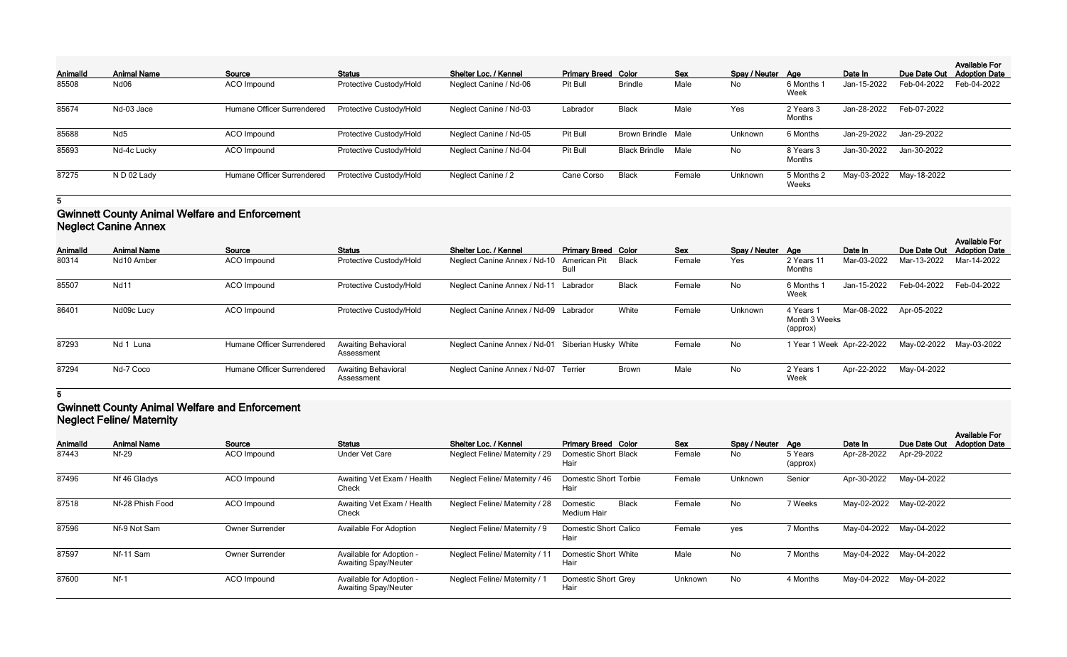| <b>AnimalId</b> | <b>Animal Name</b>    | Source                     | <b>Status</b>           | Shelter Loc. / Kennel  | <b>Primary Breed Color</b> |                      | <b>Sex</b> | Spay / Neuter Age |                     | Date In     |                         | <b>Available For</b><br>Due Date Out Adoption Date |
|-----------------|-----------------------|----------------------------|-------------------------|------------------------|----------------------------|----------------------|------------|-------------------|---------------------|-------------|-------------------------|----------------------------------------------------|
| 85508           | Nd06                  | ACO Impound                | Protective Custody/Hold | Neglect Canine / Nd-06 | Pit Bull                   | <b>Brindle</b>       | Male       | No.               | 6 Months 1<br>Week  | Jan-15-2022 | Feb-04-2022             | Feb-04-2022                                        |
| 85674           | Nd-03 Jace            | Humane Officer Surrendered | Protective Custody/Hold | Neglect Canine / Nd-03 | Labrador                   | <b>Black</b>         | Male       | Yes               | 2 Years 3<br>Months | Jan-28-2022 | Feb-07-2022             |                                                    |
| 85688           | Nd <sub>5</sub>       | ACO Impound                | Protective Custody/Hold | Neglect Canine / Nd-05 | Pit Bull                   | Brown Brindle Male   |            | Unknown           | 6 Months            | Jan-29-2022 | Jan-29-2022             |                                                    |
| 85693           | Nd-4c Lucky           | ACO Impound                | Protective Custody/Hold | Neglect Canine / Nd-04 | Pit Bull                   | <b>Black Brindle</b> | Male       | No                | 8 Years 3<br>Months | Jan-30-2022 | Jan-30-2022             |                                                    |
| 87275           | ND <sub>02</sub> Lady | Humane Officer Surrendered | Protective Custody/Hold | Neglect Canine / 2     | Cane Corso                 | <b>Black</b>         | Female     | Unknown           | 5 Months 2<br>Weeks |             | May-03-2022 May-18-2022 |                                                    |

#### **Gwinnett County Animal Welfare and Enforcement Neglect Canine Annex**

| Animalld | <b>Animal Name</b> | Source                            | <b>Status</b>                            | Shelter Loc. / Kennel                             | <b>Primary Breed Color</b> |              | Sex    | Spay / Neuter Age |                                        | Date In                 | Due Date Out | <b>Available For</b><br><b>Adoption Date</b> |
|----------|--------------------|-----------------------------------|------------------------------------------|---------------------------------------------------|----------------------------|--------------|--------|-------------------|----------------------------------------|-------------------------|--------------|----------------------------------------------|
| 80314    | Nd10 Amber         | ACO Impound                       | Protective Custody/Hold                  | Neglect Canine Annex / Nd-10                      | American Pit<br>Bull       | Black        | Female | Yes               | 2 Years 11<br>Months                   | Mar-03-2022             | Mar-13-2022  | Mar-14-2022                                  |
| 85507    | <b>Nd11</b>        | ACO Impound                       | Protective Custody/Hold                  | Neglect Canine Annex / Nd-11 Labrador             |                            | <b>Black</b> | Female | No                | 6 Months<br>Week                       | Jan-15-2022             | Feb-04-2022  | Feb-04-2022                                  |
| 86401    | Nd09c Lucy         | ACO Impound                       | Protective Custody/Hold                  | Neglect Canine Annex / Nd-09 Labrador             |                            | White        | Female | Unknown           | 4 Years 1<br>Month 3 Weeks<br>(approx) | Mar-08-2022             | Apr-05-2022  |                                              |
| 87293    | Nd 1 Luna          | Humane Officer Surrendered        | Awaiting Behavioral<br>Assessment        | Neglect Canine Annex / Nd-01 Siberian Husky White |                            |              | Female | No                |                                        | Year 1 Week Apr-22-2022 | May-02-2022  | May-03-2022                                  |
| 87294    | Nd-7 Coco          | <b>Humane Officer Surrendered</b> | <b>Awaiting Behavioral</b><br>Assessment | Neglect Canine Annex / Nd-07 Terrier              |                            | <b>Brown</b> | Male   | No                | 2 Years<br>Week                        | Apr-22-2022             | May-04-2022  |                                              |

**5**

#### **Gwinnett County Animal Welfare and Enforcement Neglect Feline/ Maternity**

| Animalld | <b>Animal Name</b> | Source                 | <b>Status</b>                                           | Shelter Loc. / Kennel                | <b>Primary Breed Color</b>              | Sex     | Spay / Neuter Age |                     | Date In     | Due Date Out | <b>Available For</b><br><b>Adoption Date</b> |
|----------|--------------------|------------------------|---------------------------------------------------------|--------------------------------------|-----------------------------------------|---------|-------------------|---------------------|-------------|--------------|----------------------------------------------|
| 87443    | <b>Nf-29</b>       | ACO Impound            | <b>Under Vet Care</b>                                   | Neglect Feline/ Maternity / 29       | <b>Domestic Short Black</b><br>Hair     | Female  | No                | 5 Years<br>(approx) | Apr-28-2022 | Apr-29-2022  |                                              |
| 87496    | Nf 46 Gladys       | ACO Impound            | Awaiting Vet Exam / Health<br>Check                     | Neglect Feline/ Maternity / 46       | Domestic Short Torbie<br>Hair           | Female  | Unknown           | Senior              | Apr-30-2022 | May-04-2022  |                                              |
| 87518    | Nf-28 Phish Food   | ACO Impound            | Awaiting Vet Exam / Health<br>Check                     | Neglect Feline/ Maternity / 28       | <b>Black</b><br>Domestic<br>Medium Hair | Female  | No                | 7 Weeks             | May-02-2022 | May-02-2022  |                                              |
| 87596    | Nf-9 Not Sam       | <b>Owner Surrender</b> | <b>Available For Adoption</b>                           | Neglect Feline/ Maternity / 9        | Domestic Short Calico<br>Hair           | Female  | yes               | 7 Months            | May-04-2022 | May-04-2022  |                                              |
| 87597    | Nf-11 Sam          | <b>Owner Surrender</b> | Available for Adoption -<br><b>Awaiting Spay/Neuter</b> | Neglect Feline/ Maternity / 1        | <b>Domestic Short White</b><br>Hair     | Male    | No                | 7 Months            | May-04-2022 | May-04-2022  |                                              |
| 87600    | $Nf-1$             | <b>ACO</b> Impound     | Available for Adoption -<br><b>Awaiting Spay/Neuter</b> | <b>Neglect Feline/ Maternity / 1</b> | Domestic Short Grey<br>Hair             | Unknown | <b>No</b>         | 4 Months            | May-04-2022 | May-04-2022  |                                              |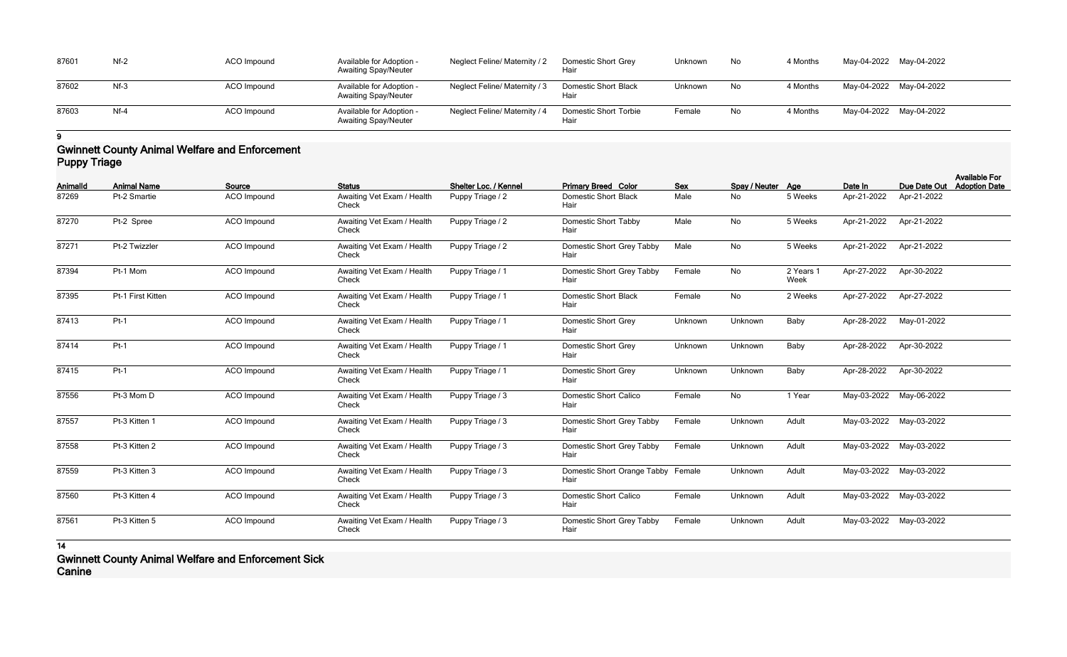| 87601 | $Nf-2$ | ACO Impound | Available for Adoption -<br><b>Awaiting Spay/Neuter</b> | Neglect Feline/ Maternity / 2 | Domestic Short Grey<br>Hair   | Unknown | No        | 4 Months | May-04-2022 May-04-2022 |  |
|-------|--------|-------------|---------------------------------------------------------|-------------------------------|-------------------------------|---------|-----------|----------|-------------------------|--|
| 87602 | $Nf-3$ | ACO Impound | Available for Adoption -<br><b>Awaiting Spay/Neuter</b> | Neglect Feline/ Maternity / 3 | Domestic Short Black<br>Hair  | Unknown | No        | 4 Months | May-04-2022 May-04-2022 |  |
| 87603 | $Nf-4$ | ACO Impound | Available for Adoption -<br><b>Awaiting Spay/Neuter</b> | Neglect Feline/ Maternity / 4 | Domestic Short Torbie<br>Hair | Female  | <b>No</b> | 4 Months | May-04-2022 May-04-2022 |  |

#### **Gwinnett County Animal Welfare and Enforcement Puppy Triage**

| Animalld | <b>Animal Name</b> | Source             | <b>Status</b>                       | Shelter Loc. / Kennel | <b>Primary Breed Color</b>                 | <b>Sex</b> | Spay / Neuter Age |                   | Date In     | Due Date Out            | <b>Available For</b><br><b>Adoption Date</b> |
|----------|--------------------|--------------------|-------------------------------------|-----------------------|--------------------------------------------|------------|-------------------|-------------------|-------------|-------------------------|----------------------------------------------|
| 87269    | Pt-2 Smartie       | ACO Impound        | Awaiting Vet Exam / Health<br>Check | Puppy Triage / 2      | <b>Domestic Short Black</b><br>Hair        | Male       | <b>No</b>         | 5 Weeks           | Apr-21-2022 | Apr-21-2022             |                                              |
| 87270    | Pt-2 Spree         | ACO Impound        | Awaiting Vet Exam / Health<br>Check | Puppy Triage / 2      | <b>Domestic Short Tabby</b><br>Hair        | Male       | No                | 5 Weeks           | Apr-21-2022 | Apr-21-2022             |                                              |
| 87271    | Pt-2 Twizzler      | <b>ACO</b> Impound | Awaiting Vet Exam / Health<br>Check | Puppy Triage / 2      | Domestic Short Grey Tabby<br>Hair          | Male       | No                | 5 Weeks           | Apr-21-2022 | Apr-21-2022             |                                              |
| 87394    | Pt-1 Mom           | <b>ACO</b> Impound | Awaiting Vet Exam / Health<br>Check | Puppy Triage / 1      | Domestic Short Grey Tabby<br>Hair          | Female     | No                | 2 Years 1<br>Week | Apr-27-2022 | Apr-30-2022             |                                              |
| 87395    | Pt-1 First Kitten  | ACO Impound        | Awaiting Vet Exam / Health<br>Check | Puppy Triage / 1      | <b>Domestic Short Black</b><br>Hair        | Female     | <b>No</b>         | 2 Weeks           | Apr-27-2022 | Apr-27-2022             |                                              |
| 87413    | $Pt-1$             | <b>ACO</b> Impound | Awaiting Vet Exam / Health<br>Check | Puppy Triage / 1      | <b>Domestic Short Grey</b><br>Hair         | Unknown    | Unknown           | Baby              | Apr-28-2022 | May-01-2022             |                                              |
| 87414    | $Pt-1$             | ACO Impound        | Awaiting Vet Exam / Health<br>Check | Puppy Triage / 1      | <b>Domestic Short Grey</b><br>Hair         | Unknown    | Unknown           | Baby              | Apr-28-2022 | Apr-30-2022             |                                              |
| 87415    | $Pt-1$             | <b>ACO</b> Impound | Awaiting Vet Exam / Health<br>Check | Puppy Triage / 1      | <b>Domestic Short Grey</b><br>Hair         | Unknown    | Unknown           | Baby              | Apr-28-2022 | Apr-30-2022             |                                              |
| 87556    | Pt-3 Mom D         | <b>ACO</b> Impound | Awaiting Vet Exam / Health<br>Check | Puppy Triage / 3      | <b>Domestic Short Calico</b><br>Hair       | Female     | No                | 1 Year            |             | May-03-2022 May-06-2022 |                                              |
| 87557    | Pt-3 Kitten 1      | <b>ACO</b> Impound | Awaiting Vet Exam / Health<br>Check | Puppy Triage / 3      | Domestic Short Grey Tabby<br>Hair          | Female     | Unknown           | Adult             | May-03-2022 | May-03-2022             |                                              |
| 87558    | Pt-3 Kitten 2      | <b>ACO</b> Impound | Awaiting Vet Exam / Health<br>Check | Puppy Triage / 3      | Domestic Short Grey Tabby<br>Hair          | Female     | Unknown           | Adult             | May-03-2022 | May-03-2022             |                                              |
| 87559    | Pt-3 Kitten 3      | ACO Impound        | Awaiting Vet Exam / Health<br>Check | Puppy Triage / 3      | Domestic Short Orange Tabby Female<br>Hair |            | Unknown           | Adult             |             | May-03-2022 May-03-2022 |                                              |
| 87560    | Pt-3 Kitten 4      | ACO Impound        | Awaiting Vet Exam / Health<br>Check | Puppy Triage / 3      | <b>Domestic Short Calico</b><br>Hair       | Female     | Unknown           | Adult             | May-03-2022 | May-03-2022             |                                              |
| 87561    | Pt-3 Kitten 5      | <b>ACO</b> Impound | Awaiting Vet Exam / Health<br>Check | Puppy Triage / 3      | Domestic Short Grey Tabby<br>Hair          | Female     | Unknown           | Adult             |             | May-03-2022 May-03-2022 |                                              |

**14**

**Gwinnett County Animal Welfare and Enforcement Sick Canine**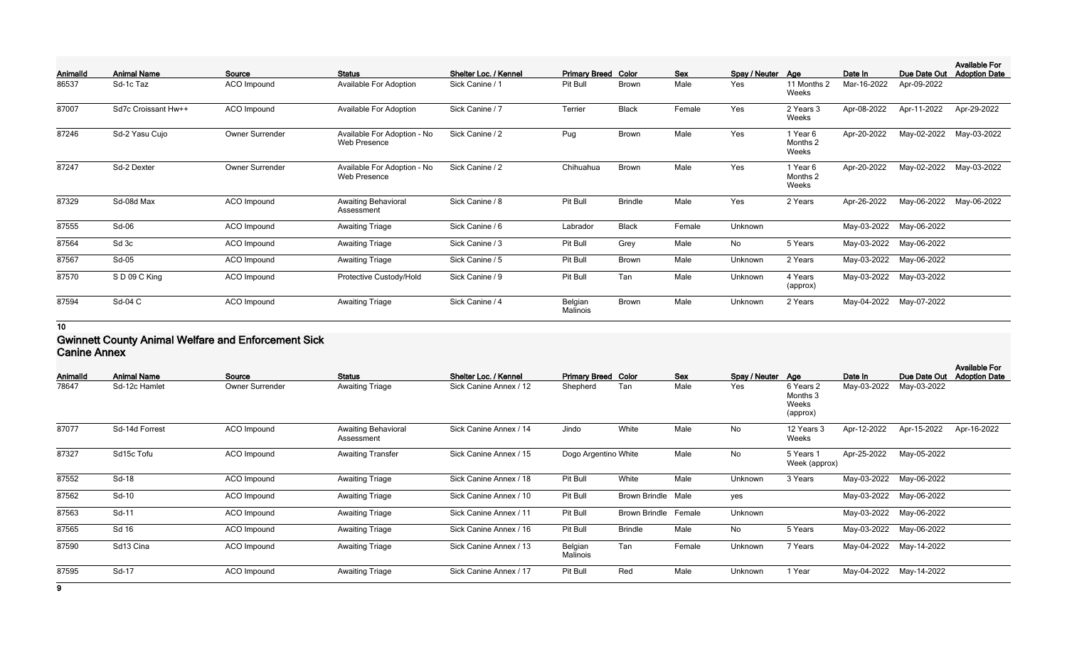| Animalld | <b>Animal Name</b>  | Source          | <b>Status</b>                               | Shelter Loc. / Kennel | <b>Primary Breed Color</b> |                | <b>Sex</b> | Spay / Neuter Age |                               | Date In     | Due Date Out | <b>Available For</b><br><b>Adoption Date</b> |
|----------|---------------------|-----------------|---------------------------------------------|-----------------------|----------------------------|----------------|------------|-------------------|-------------------------------|-------------|--------------|----------------------------------------------|
| 86537    | Sd-1c Taz           | ACO Impound     | Available For Adoption                      | Sick Canine / 1       | Pit Bull                   | <b>Brown</b>   | Male       | Yes               | 11 Months 2<br>Weeks          | Mar-16-2022 | Apr-09-2022  |                                              |
| 87007    | Sd7c Croissant Hw++ | ACO Impound     | <b>Available For Adoption</b>               | Sick Canine / 7       | Terrier                    | <b>Black</b>   | Female     | Yes               | 2 Years 3<br>Weeks            | Apr-08-2022 | Apr-11-2022  | Apr-29-2022                                  |
| 87246    | Sd-2 Yasu Cujo      | Owner Surrender | Available For Adoption - No<br>Web Presence | Sick Canine / 2       | Pug                        | <b>Brown</b>   | Male       | Yes               | 1 Year 6<br>Months 2<br>Weeks | Apr-20-2022 | May-02-2022  | May-03-2022                                  |
| 87247    | Sd-2 Dexter         | Owner Surrender | Available For Adoption - No<br>Web Presence | Sick Canine / 2       | Chihuahua                  | <b>Brown</b>   | Male       | Yes               | 1 Year 6<br>Months 2<br>Weeks | Apr-20-2022 | May-02-2022  | May-03-2022                                  |
| 87329    | Sd-08d Max          | ACO Impound     | <b>Awaiting Behavioral</b><br>Assessment    | Sick Canine / 8       | Pit Bull                   | <b>Brindle</b> | Male       | Yes               | 2 Years                       | Apr-26-2022 | May-06-2022  | May-06-2022                                  |
| 87555    | Sd-06               | ACO Impound     | <b>Awaiting Triage</b>                      | Sick Canine / 6       | Labrador                   | <b>Black</b>   | Female     | Unknown           |                               | May-03-2022 | May-06-2022  |                                              |
| 87564    | Sd 3c               | ACO Impound     | <b>Awaiting Triage</b>                      | Sick Canine / 3       | Pit Bull                   | Grey           | Male       | No                | 5 Years                       | May-03-2022 | May-06-2022  |                                              |
| 87567    | $Sd-05$             | ACO Impound     | <b>Awaiting Triage</b>                      | Sick Canine / 5       | Pit Bull                   | <b>Brown</b>   | Male       | Unknown           | 2 Years                       | May-03-2022 | May-06-2022  |                                              |
| 87570    | SD09CKing           | ACO Impound     | Protective Custody/Hold                     | Sick Canine / 9       | Pit Bull                   | Tan            | Male       | Unknown           | 4 Years<br>(approx)           | May-03-2022 | May-03-2022  |                                              |
| 87594    | Sd-04 C             | ACO Impound     | <b>Awaiting Triage</b>                      | Sick Canine / 4       | Belgian<br>Malinois        | <b>Brown</b>   | Male       | Unknown           | 2 Years                       | May-04-2022 | May-07-2022  |                                              |

#### **Gwinnett County Animal Welfare and Enforcement Sick Canine Annex**

| Animalld | <b>Animal Name</b> | Source                 | <b>Status</b>                            | Shelter Loc. / Kennel  | <b>Primary Breed Color</b> |                           | Sex    | Spay / Neuter Age |                                            | Date In     | Due Date Out            | <b>Available For</b><br><b>Adoption Date</b> |
|----------|--------------------|------------------------|------------------------------------------|------------------------|----------------------------|---------------------------|--------|-------------------|--------------------------------------------|-------------|-------------------------|----------------------------------------------|
| 78647    | Sd-12c Hamlet      | <b>Owner Surrender</b> | <b>Awaiting Triage</b>                   | Sick Canine Annex / 12 | Shepherd                   | Tan                       | Male   | Yes               | 6 Years 2<br>Months 3<br>Weeks<br>(approx) | May-03-2022 | May-03-2022             |                                              |
| 87077    | Sd-14d Forrest     | ACO Impound            | <b>Awaiting Behavioral</b><br>Assessment | Sick Canine Annex / 14 | Jindo                      | White                     | Male   | No                | 12 Years 3<br>Weeks                        | Apr-12-2022 | Apr-15-2022             | Apr-16-2022                                  |
| 87327    | Sd15c Tofu         | ACO Impound            | <b>Awaiting Transfer</b>                 | Sick Canine Annex / 15 | Dogo Argentino White       |                           | Male   | No                | 5 Years 1<br>Week (approx)                 | Apr-25-2022 | May-05-2022             |                                              |
| 87552    | Sd-18              | ACO Impound            | <b>Awaiting Triage</b>                   | Sick Canine Annex / 18 | Pit Bull                   | White                     | Male   | Unknown           | 3 Years                                    | May-03-2022 | May-06-2022             |                                              |
| 87562    | Sd-10              | ACO Impound            | <b>Awaiting Triage</b>                   | Sick Canine Annex / 10 | Pit Bull                   | <b>Brown Brindle Male</b> |        | yes               |                                            | May-03-2022 | May-06-2022             |                                              |
| 87563    | Sd-11              | ACO Impound            | <b>Awaiting Triage</b>                   | Sick Canine Annex / 11 | Pit Bull                   | <b>Brown Brindle</b>      | Female | Unknown           |                                            | May-03-2022 | May-06-2022             |                                              |
| 87565    | Sd 16              | ACO Impound            | <b>Awaiting Triage</b>                   | Sick Canine Annex / 16 | Pit Bull                   | <b>Brindle</b>            | Male   | No                | 5 Years                                    | May-03-2022 | May-06-2022             |                                              |
| 87590    | Sd13 Cina          | ACO Impound            | <b>Awaiting Triage</b>                   | Sick Canine Annex / 13 | Belgian<br>Malinois        | Tan                       | Female | Unknown           | 7 Years                                    | May-04-2022 | May-14-2022             |                                              |
| 87595    | Sd-17              | ACO Impound            | <b>Awaiting Triage</b>                   | Sick Canine Annex / 17 | Pit Bull                   | Red                       | Male   | Unknown           | 1 Year                                     |             | May-04-2022 May-14-2022 |                                              |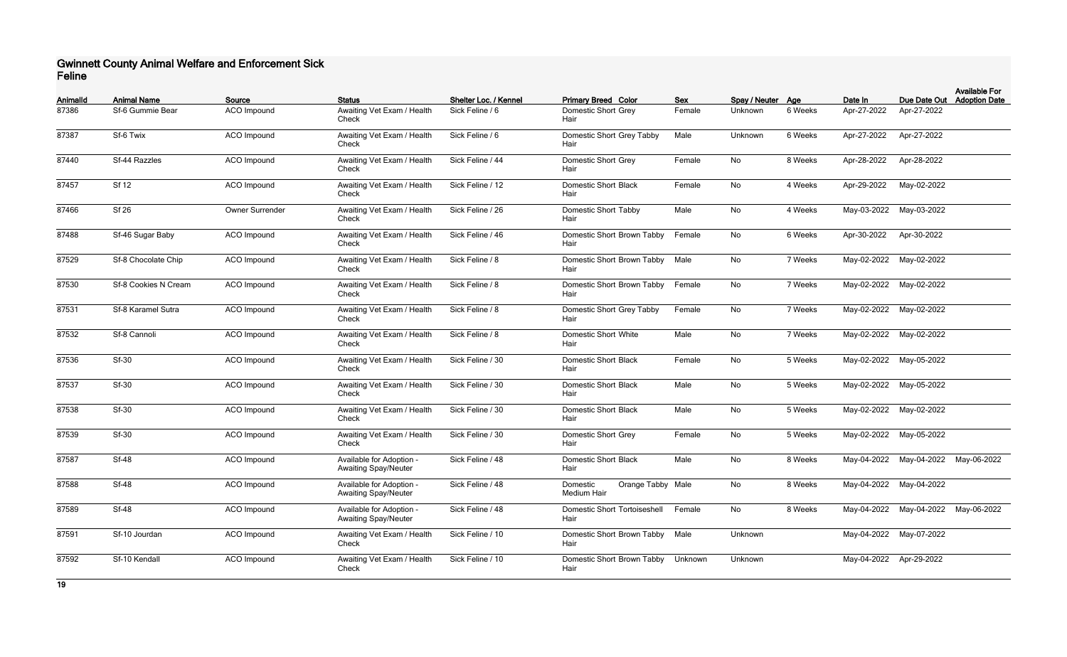### **Gwinnett County Animal Welfare and Enforcement Sick Feline**

| <b>AnimalId</b> | <b>Animal Name</b>   | Source             | <b>Status</b>                                           | Shelter Loc. / Kennel | <b>Primary Breed Color</b>                   | <b>Sex</b>   | Spay / Neuter Age |         | Date In                 |                                     | <b>Available For</b><br>Due Date Out Adoption Date |
|-----------------|----------------------|--------------------|---------------------------------------------------------|-----------------------|----------------------------------------------|--------------|-------------------|---------|-------------------------|-------------------------------------|----------------------------------------------------|
| 87386           | Sf-6 Gummie Bear     | ACO Impound        | Awaiting Vet Exam / Health<br>Check                     | Sick Feline / 6       | <b>Domestic Short Grey</b><br>Hair           | Female       | Unknown           | 6 Weeks | Apr-27-2022             | Apr-27-2022                         |                                                    |
| 87387           | Sf-6 Twix            | ACO Impound        | Awaiting Vet Exam / Health<br>Check                     | Sick Feline / 6       | Domestic Short Grey Tabby<br>Hair            | Male         | Unknown           | 6 Weeks | Apr-27-2022             | Apr-27-2022                         |                                                    |
| 87440           | Sf-44 Razzles        | ACO Impound        | Awaiting Vet Exam / Health<br>Check                     | Sick Feline / 44      | <b>Domestic Short Grey</b><br>Hair           | Female       | No                | 8 Weeks | Apr-28-2022             | Apr-28-2022                         |                                                    |
| 87457           | <b>Sf 12</b>         | ACO Impound        | Awaiting Vet Exam / Health<br>Check                     | Sick Feline / 12      | <b>Domestic Short Black</b><br>Hair          | Female       | No                | 4 Weeks | Apr-29-2022             | May-02-2022                         |                                                    |
| 87466           | <b>Sf 26</b>         | Owner Surrender    | Awaiting Vet Exam / Health<br>Check                     | Sick Feline / 26      | Domestic Short Tabby<br>Hair                 | Male         | No                | 4 Weeks |                         | May-03-2022 May-03-2022             |                                                    |
| 87488           | Sf-46 Sugar Baby     | <b>ACO</b> Impound | Awaiting Vet Exam / Health<br>Check                     | Sick Feline / 46      | Domestic Short Brown Tabby<br>Hair           | Female       | No                | 6 Weeks | Apr-30-2022             | Apr-30-2022                         |                                                    |
| 87529           | Sf-8 Chocolate Chip  | ACO Impound        | Awaiting Vet Exam / Health<br>Check                     | Sick Feline / 8       | Domestic Short Brown Tabby<br>Hair           | Male         | No                | 7 Weeks |                         | May-02-2022 May-02-2022             |                                                    |
| 87530           | Sf-8 Cookies N Cream | ACO Impound        | Awaiting Vet Exam / Health<br>Check                     | Sick Feline / 8       | Domestic Short Brown Tabby<br>Hair           | Female       | No                | 7 Weeks |                         | May-02-2022 May-02-2022             |                                                    |
| 87531           | Sf-8 Karamel Sutra   | ACO Impound        | Awaiting Vet Exam / Health<br>Check                     | Sick Feline / 8       | Domestic Short Grey Tabby<br>Hair            | Female<br>No |                   | 7 Weeks |                         | May-02-2022 May-02-2022             |                                                    |
| 87532           | Sf-8 Cannoli         | ACO Impound        | Awaiting Vet Exam / Health<br>Check                     | Sick Feline / 8       | <b>Domestic Short White</b><br>Hair          | Male         | No                | 7 Weeks |                         | May-02-2022 May-02-2022             |                                                    |
| 87536           | <b>Sf-30</b>         | ACO Impound        | Awaiting Vet Exam / Health<br>Check                     | Sick Feline / 30      | <b>Domestic Short Black</b><br>Hair          | Female       | No                | 5 Weeks |                         | May-02-2022 May-05-2022             |                                                    |
| 87537           | <b>Sf-30</b>         | ACO Impound        | Awaiting Vet Exam / Health<br>Check                     | Sick Feline / 30      | <b>Domestic Short Black</b><br>Hair          | Male         | No                | 5 Weeks |                         | May-02-2022 May-05-2022             |                                                    |
| 87538           | <b>Sf-30</b>         | ACO Impound        | Awaiting Vet Exam / Health<br>Check                     | Sick Feline / 30      | <b>Domestic Short Black</b><br>Hair          | Male         | No                | 5 Weeks |                         | May-02-2022 May-02-2022             |                                                    |
| 87539           | $Sf-30$              | ACO Impound        | Awaiting Vet Exam / Health<br>Check                     | Sick Feline / 30      | Domestic Short Grey<br>Hair                  | Female       | No                | 5 Weeks |                         | May-02-2022 May-05-2022             |                                                    |
| 87587           | <b>Sf-48</b>         | ACO Impound        | Available for Adoption -<br><b>Awaiting Spay/Neuter</b> | Sick Feline / 48      | Domestic Short Black<br>Hair                 | Male         | No                | 8 Weeks |                         | May-04-2022 May-04-2022 May-06-2022 |                                                    |
| 87588           | <b>Sf-48</b>         | ACO Impound        | Available for Adoption -<br><b>Awaiting Spay/Neuter</b> | Sick Feline / 48      | Orange Tabby Male<br>Domestic<br>Medium Hair |              | No                | 8 Weeks |                         | May-04-2022 May-04-2022             |                                                    |
| 87589           | <b>Sf-48</b>         | ACO Impound        | Available for Adoption -<br><b>Awaiting Spay/Neuter</b> | Sick Feline / 48      | Domestic Short Tortoiseshell<br>Hair         | Female       | No                | 8 Weeks |                         | May-04-2022 May-04-2022             | May-06-2022                                        |
| 87591           | Sf-10 Jourdan        | ACO Impound        | Awaiting Vet Exam / Health<br>Check                     | Sick Feline / 10      | Domestic Short Brown Tabby<br>Hair           | Male         | Unknown           |         |                         | May-04-2022 May-07-2022             |                                                    |
| 87592           | Sf-10 Kendall        | ACO Impound        | Awaiting Vet Exam / Health<br>Check                     | Sick Feline / 10      | Domestic Short Brown Tabby<br>Hair           | Unknown      | Unknown           |         | May-04-2022 Apr-29-2022 |                                     |                                                    |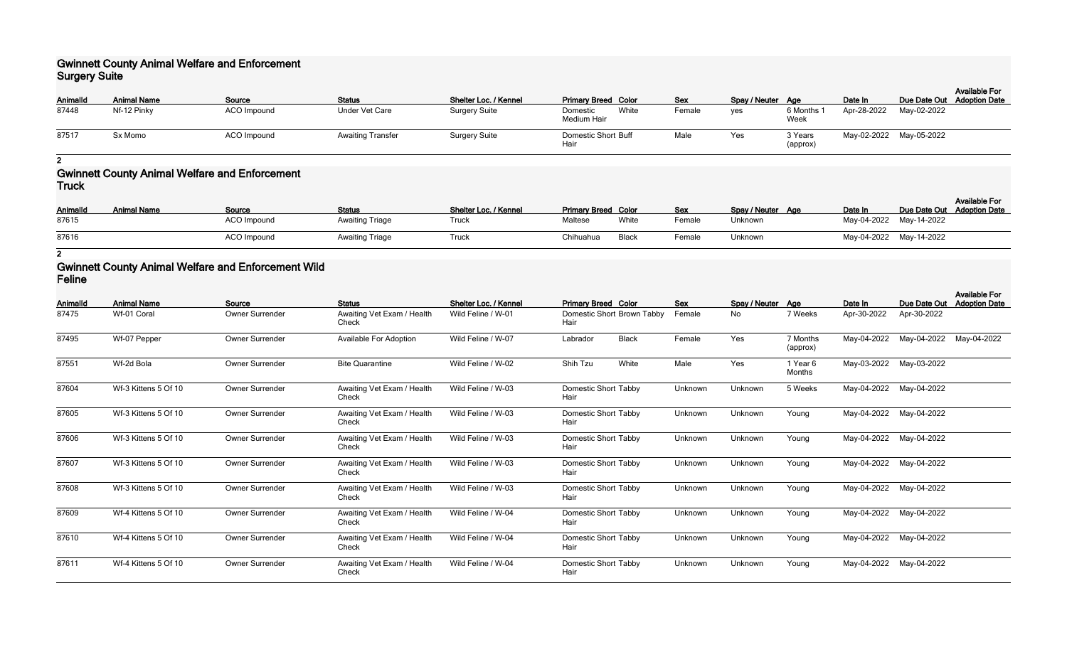#### **Gwinnett County Animal Welfare and Enforcement Surgery Suite**

| <b>Pargery Party</b> |                    |             |                          |                       |                                    |       |            |                   |                     |                         |             |                                                    |
|----------------------|--------------------|-------------|--------------------------|-----------------------|------------------------------------|-------|------------|-------------------|---------------------|-------------------------|-------------|----------------------------------------------------|
| <b>AnimalId</b>      | <b>Animal Name</b> | Source      | <b>Status</b>            | Shelter Loc. / Kennel | <b>Primary Breed Color</b>         |       | <b>Sex</b> | Spay / Neuter Age |                     | Date In                 |             | <b>Available For</b><br>Due Date Out Adoption Date |
| 87448                | Nf-12 Pinky        | ACO Impound | <b>Under Vet Care</b>    | <b>Surgery Suite</b>  | Domestic<br>Medium Hair            | White | Female     | yes               | 6 Months<br>Week    | Apr-28-2022             | May-02-2022 |                                                    |
| 87517                | Sx Momo            | ACO Impound | <b>Awaiting Transfer</b> | <b>Surgery Suite</b>  | <b>Domestic Short Buff</b><br>Hair |       | Male       | Yes               | 3 Years<br>(approx) | May-02-2022 May-05-2022 |             |                                                    |

**2**

### **Gwinnett County Animal Welfare and Enforcement Truck**

| <b>AnimalId</b> | <b>Animal Name</b> | <b>Source</b>      | <b>Status</b>          | Shelter Loc. / Kennel | <b>Primary Breed Color</b> |       | <u>Sex</u> | Spay / Neuter Age | Date In                 | Due Date Out Adoption Date | <b>Available For</b> |
|-----------------|--------------------|--------------------|------------------------|-----------------------|----------------------------|-------|------------|-------------------|-------------------------|----------------------------|----------------------|
| 87615           |                    | <b>ACO Impound</b> | <b>Awaiting Triage</b> | Truck                 | Maltese                    | White | Female     | Unknown           | May-04-2022 May-14-2022 |                            |                      |
| 87616           |                    | <b>ACO</b> Impound | <b>Awaiting Triage</b> | Truck                 | Chihuahua                  | Black | Female     | Unknown           | May-04-2022 May-14-2022 |                            |                      |

**2**

#### **Gwinnett County Animal Welfare and Enforcement Wild Feline**

| <b>AnimalId</b> | <b>Animal Name</b>   | Source                 | <b>Status</b>                       | Shelter Loc. / Kennel | <b>Primary Breed Color</b>          | <b>Sex</b> | Spay / Neuter Age |                      | Date In     | Due Date Out            | <b>Available For</b><br><b>Adoption Date</b> |
|-----------------|----------------------|------------------------|-------------------------------------|-----------------------|-------------------------------------|------------|-------------------|----------------------|-------------|-------------------------|----------------------------------------------|
| 87475           | Wf-01 Coral          | Owner Surrender        | Awaiting Vet Exam / Health<br>Check | Wild Feline / W-01    | Domestic Short Brown Tabby<br>Hair  | Female     | No                | 7 Weeks              | Apr-30-2022 | Apr-30-2022             |                                              |
| 87495           | Wf-07 Pepper         | Owner Surrender        | <b>Available For Adoption</b>       | Wild Feline / W-07    | <b>Black</b><br>Labrador            | Female     | Yes               | 7 Months<br>(approx) | May-04-2022 | May-04-2022             | May-04-2022                                  |
| 87551           | Wf-2d Bola           | Owner Surrender        | <b>Bite Quarantine</b>              | Wild Feline / W-02    | Shih Tzu<br>White                   | Male       | Yes               | 1 Year 6<br>Months   |             | May-03-2022 May-03-2022 |                                              |
| 87604           | Wf-3 Kittens 5 Of 10 | <b>Owner Surrender</b> | Awaiting Vet Exam / Health<br>Check | Wild Feline / W-03    | <b>Domestic Short Tabby</b><br>Hair | Unknown    | Unknown           | 5 Weeks              | May-04-2022 | May-04-2022             |                                              |
| 87605           | Wf-3 Kittens 5 Of 10 | <b>Owner Surrender</b> | Awaiting Vet Exam / Health<br>Check | Wild Feline / W-03    | <b>Domestic Short Tabby</b><br>Hair | Unknown    | Unknown           | Young                | May-04-2022 | May-04-2022             |                                              |
| 87606           | Wf-3 Kittens 5 Of 10 | <b>Owner Surrender</b> | Awaiting Vet Exam / Health<br>Check | Wild Feline / W-03    | Domestic Short Tabby<br>Hair        | Unknown    | Unknown           | Young                | May-04-2022 | May-04-2022             |                                              |
| 87607           | Wf-3 Kittens 5 Of 10 | Owner Surrender        | Awaiting Vet Exam / Health<br>Check | Wild Feline / W-03    | Domestic Short Tabby<br>Hair        | Unknown    | Unknown           | Young                | May-04-2022 | May-04-2022             |                                              |
| 87608           | Wf-3 Kittens 5 Of 10 | Owner Surrender        | Awaiting Vet Exam / Health<br>Check | Wild Feline / W-03    | <b>Domestic Short Tabby</b><br>Hair | Unknown    | Unknown           | Young                | May-04-2022 | May-04-2022             |                                              |
| 87609           | Wf-4 Kittens 5 Of 10 | Owner Surrender        | Awaiting Vet Exam / Health<br>Check | Wild Feline / W-04    | <b>Domestic Short Tabby</b><br>Hair | Unknown    | Unknown           | Young                | May-04-2022 | May-04-2022             |                                              |
| 87610           | Wf-4 Kittens 5 Of 10 | <b>Owner Surrender</b> | Awaiting Vet Exam / Health<br>Check | Wild Feline / W-04    | <b>Domestic Short Tabby</b><br>Hair | Unknown    | Unknown           | Young                | May-04-2022 | May-04-2022             |                                              |
| 87611           | Wf-4 Kittens 5 Of 10 | Owner Surrender        | Awaiting Vet Exam / Health<br>Check | Wild Feline / W-04    | <b>Domestic Short Tabby</b><br>Hair | Unknown    | Unknown           | Young                | May-04-2022 | May-04-2022             |                                              |